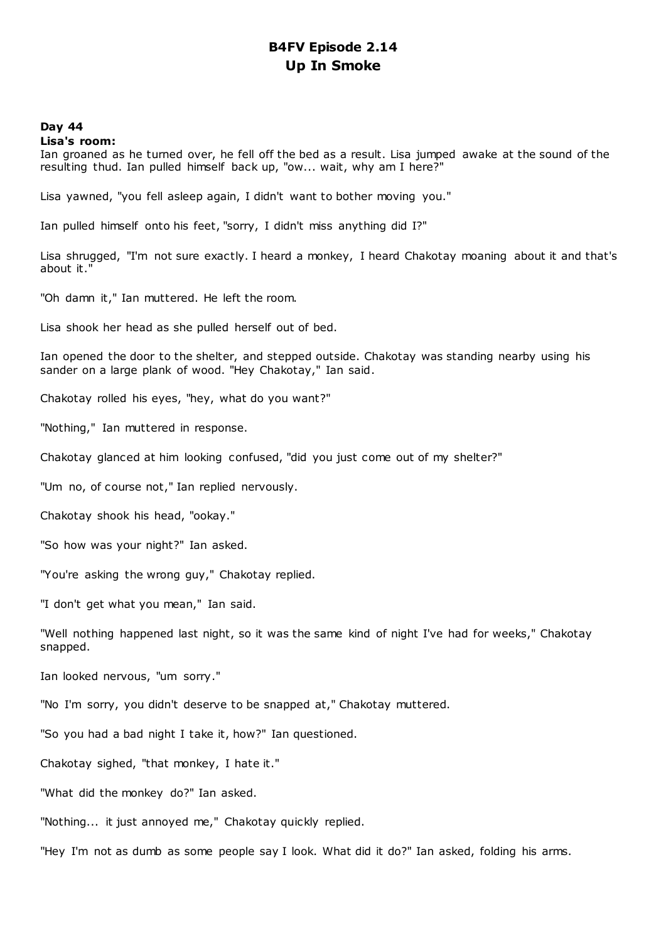# **B4FV Episode 2.14 Up In Smoke**

# **Day 44**

## **Lisa's room:**

Ian groaned as he turned over, he fell off the bed as a result. Lisa jumped awake at the sound of the resulting thud. Ian pulled himself back up, "ow... wait, why am I here?"

Lisa yawned, "you fell asleep again, I didn't want to bother moving you."

Ian pulled himself onto his feet, "sorry, I didn't miss anything did I?"

Lisa shrugged, "I'm not sure exactly. I heard a monkey, I heard Chakotay moaning about it and that's about it."

"Oh damn it," Ian muttered. He left the room.

Lisa shook her head as she pulled herself out of bed.

Ian opened the door to the shelter, and stepped outside. Chakotay was standing nearby using his sander on a large plank of wood. "Hey Chakotay," Ian said.

Chakotay rolled his eyes, "hey, what do you want?"

"Nothing," Ian muttered in response.

Chakotay glanced at him looking confused, "did you just come out of my shelter?"

"Um no, of course not," Ian replied nervously.

Chakotay shook his head, "ookay."

"So how was your night?" Ian asked.

"You're asking the wrong guy," Chakotay replied.

"I don't get what you mean," Ian said.

"Well nothing happened last night, so it was the same kind of night I've had for weeks," Chakotay snapped.

Ian looked nervous, "um sorry."

"No I'm sorry, you didn't deserve to be snapped at," Chakotay muttered.

"So you had a bad night I take it, how?" Ian questioned.

Chakotay sighed, "that monkey, I hate it."

"What did the monkey do?" Ian asked.

"Nothing... it just annoyed me," Chakotay quickly replied.

"Hey I'm not as dumb as some people say I look. What did it do?" Ian asked, folding his arms.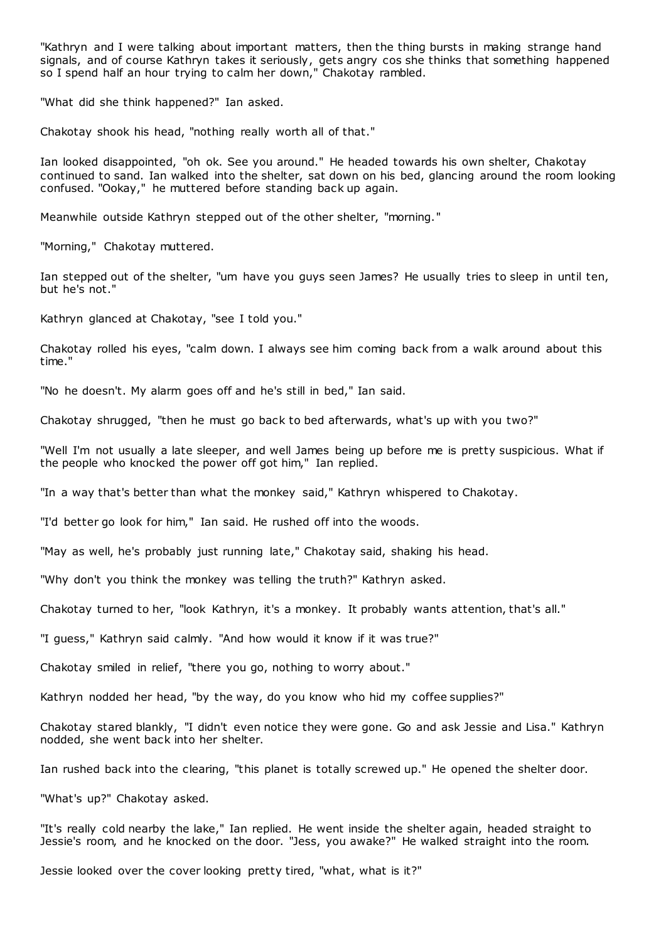"Kathryn and I were talking about important matters, then the thing bursts in making strange hand signals, and of course Kathryn takes it seriously, gets angry cos she thinks that something happened so I spend half an hour trying to calm her down," Chakotay rambled.

"What did she think happened?" Ian asked.

Chakotay shook his head, "nothing really worth all of that."

Ian looked disappointed, "oh ok. See you around." He headed towards his own shelter, Chakotay continued to sand. Ian walked into the shelter, sat down on his bed, glancing around the room looking confused. "Ookay," he muttered before standing back up again.

Meanwhile outside Kathryn stepped out of the other shelter, "morning."

"Morning," Chakotay muttered.

Ian stepped out of the shelter, "um have you guys seen James? He usually tries to sleep in until ten, but he's not."

Kathryn glanced at Chakotay, "see I told you."

Chakotay rolled his eyes, "calm down. I always see him coming back from a walk around about this time."

"No he doesn't. My alarm goes off and he's still in bed," Ian said.

Chakotay shrugged, "then he must go back to bed afterwards, what's up with you two?"

"Well I'm not usually a late sleeper, and well James being up before me is pretty suspicious. What if the people who knocked the power off got him," Ian replied.

"In a way that's better than what the monkey said," Kathryn whispered to Chakotay.

"I'd better go look for him," Ian said. He rushed off into the woods.

"May as well, he's probably just running late," Chakotay said, shaking his head.

"Why don't you think the monkey was telling the truth?" Kathryn asked.

Chakotay turned to her, "look Kathryn, it's a monkey. It probably wants attention, that's all."

"I guess," Kathryn said calmly. "And how would it know if it was true?"

Chakotay smiled in relief, "there you go, nothing to worry about."

Kathryn nodded her head, "by the way, do you know who hid my coffee supplies?"

Chakotay stared blankly, "I didn't even notice they were gone. Go and ask Jessie and Lisa." Kathryn nodded, she went back into her shelter.

Ian rushed back into the clearing, "this planet is totally screwed up." He opened the shelter door.

"What's up?" Chakotay asked.

"It's really cold nearby the lake," Ian replied. He went inside the shelter again, headed straight to Jessie's room, and he knocked on the door. "Jess, you awake?" He walked straight into the room.

Jessie looked over the cover looking pretty tired, "what, what is it?"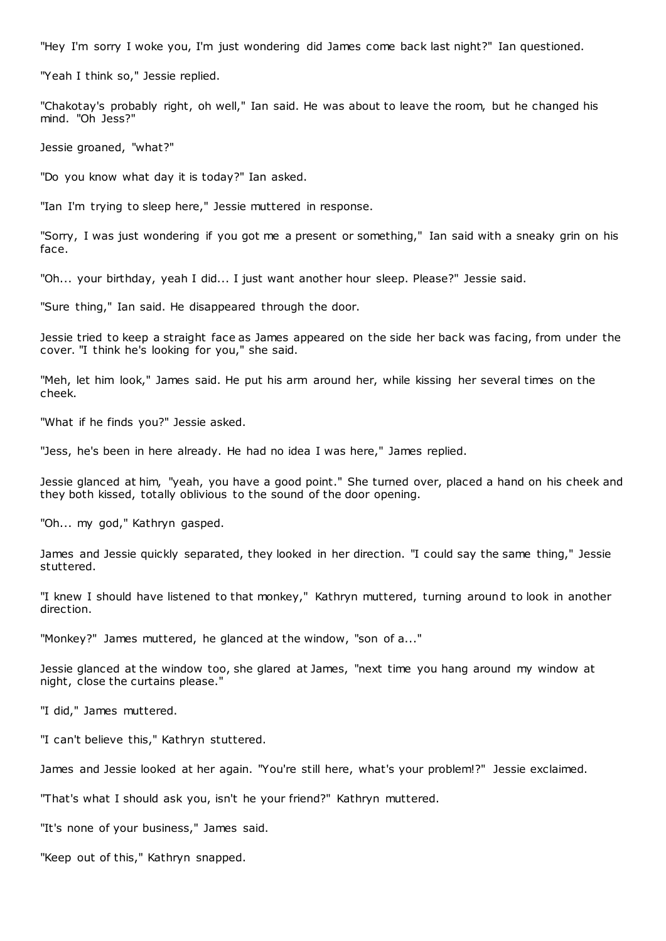"Hey I'm sorry I woke you, I'm just wondering did James come back last night?" Ian questioned.

"Yeah I think so," Jessie replied.

"Chakotay's probably right, oh well," Ian said. He was about to leave the room, but he changed his mind. "Oh Jess?"

Jessie groaned, "what?"

"Do you know what day it is today?" Ian asked.

"Ian I'm trying to sleep here," Jessie muttered in response.

"Sorry, I was just wondering if you got me a present or something," Ian said with a sneaky grin on his face.

"Oh... your birthday, yeah I did... I just want another hour sleep. Please?" Jessie said.

"Sure thing," Ian said. He disappeared through the door.

Jessie tried to keep a straight face as James appeared on the side her back was facing, from under the cover. "I think he's looking for you," she said.

"Meh, let him look," James said. He put his arm around her, while kissing her several times on the cheek.

"What if he finds you?" Jessie asked.

"Jess, he's been in here already. He had no idea I was here," James replied.

Jessie glanced at him, "yeah, you have a good point." She turned over, placed a hand on his cheek and they both kissed, totally oblivious to the sound of the door opening.

"Oh... my god," Kathryn gasped.

James and Jessie quickly separated, they looked in her direction. "I could say the same thing," Jessie stuttered.

"I knew I should have listened to that monkey," Kathryn muttered, turning around to look in another direction.

"Monkey?" James muttered, he glanced at the window, "son of a..."

Jessie glanced at the window too, she glared at James, "next time you hang around my window at night, close the curtains please."

"I did," James muttered.

"I can't believe this," Kathryn stuttered.

James and Jessie looked at her again. "You're still here, what's your problem!?" Jessie exclaimed.

"That's what I should ask you, isn't he your friend?" Kathryn muttered.

"It's none of your business," James said.

"Keep out of this," Kathryn snapped.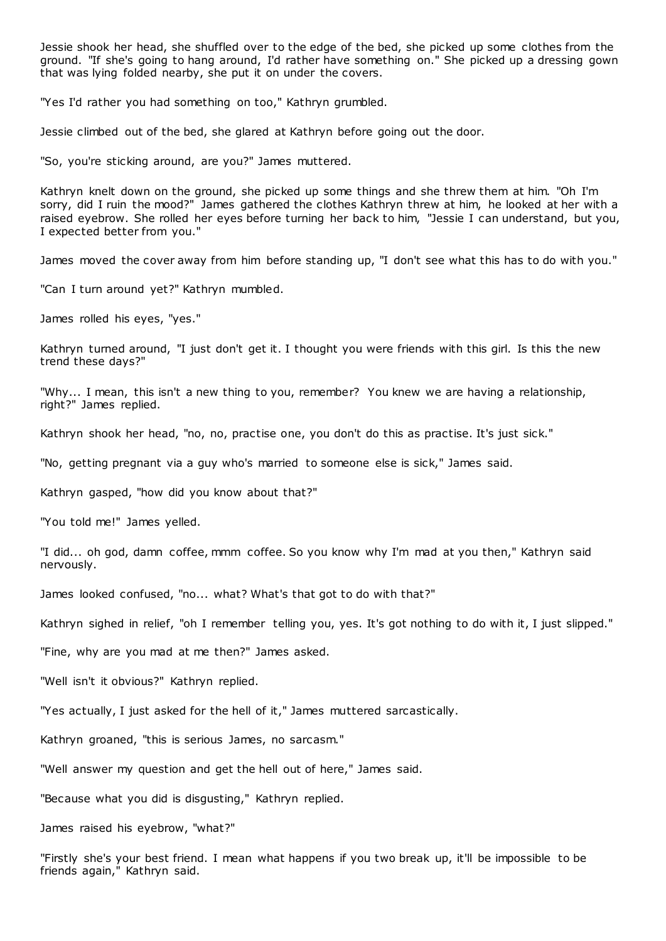Jessie shook her head, she shuffled over to the edge of the bed, she picked up some clothes from the ground. "If she's going to hang around, I'd rather have something on." She picked up a dressing gown that was lying folded nearby, she put it on under the covers.

"Yes I'd rather you had something on too," Kathryn grumbled.

Jessie climbed out of the bed, she glared at Kathryn before going out the door.

"So, you're sticking around, are you?" James muttered.

Kathryn knelt down on the ground, she picked up some things and she threw them at him. "Oh I'm sorry, did I ruin the mood?" James gathered the clothes Kathryn threw at him, he looked at her with a raised eyebrow. She rolled her eyes before turning her back to him, "Jessie I can understand, but you, I expected better from you."

James moved the cover away from him before standing up, "I don't see what this has to do with you."

"Can I turn around yet?" Kathryn mumbled.

James rolled his eyes, "yes."

Kathryn turned around, "I just don't get it. I thought you were friends with this girl. Is this the new trend these days?"

"Why... I mean, this isn't a new thing to you, remember? You knew we are having a relationship, right?" James replied.

Kathryn shook her head, "no, no, practise one, you don't do this as practise. It's just sick."

"No, getting pregnant via a guy who's married to someone else is sick," James said.

Kathryn gasped, "how did you know about that?"

"You told me!" James yelled.

"I did... oh god, damn coffee, mmm coffee. So you know why I'm mad at you then," Kathryn said nervously.

James looked confused, "no... what? What's that got to do with that?"

Kathryn sighed in relief, "oh I remember telling you, yes. It's got nothing to do with it, I just slipped."

"Fine, why are you mad at me then?" James asked.

"Well isn't it obvious?" Kathryn replied.

"Yes actually, I just asked for the hell of it," James muttered sarcastically.

Kathryn groaned, "this is serious James, no sarcasm."

"Well answer my question and get the hell out of here," James said.

"Because what you did is disgusting," Kathryn replied.

James raised his eyebrow, "what?"

"Firstly she's your best friend. I mean what happens if you two break up, it'll be impossible to be friends again," Kathryn said.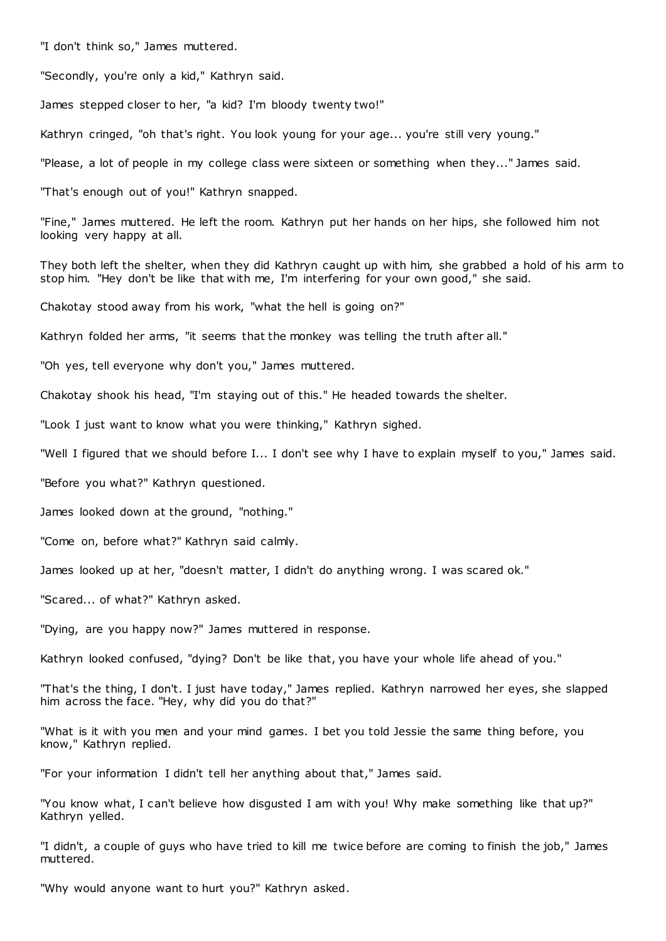"I don't think so," James muttered.

"Secondly, you're only a kid," Kathryn said.

James stepped closer to her, "a kid? I'm bloody twenty two!"

Kathryn cringed, "oh that's right. You look young for your age... you're still very young."

"Please, a lot of people in my college class were sixteen or something when they..." James said.

"That's enough out of you!" Kathryn snapped.

"Fine," James muttered. He left the room. Kathryn put her hands on her hips, she followed him not looking very happy at all.

They both left the shelter, when they did Kathryn caught up with him, she grabbed a hold of his arm to stop him. "Hey don't be like that with me, I'm interfering for your own good," she said.

Chakotay stood away from his work, "what the hell is going on?"

Kathryn folded her arms, "it seems that the monkey was telling the truth after all."

"Oh yes, tell everyone why don't you," James muttered.

Chakotay shook his head, "I'm staying out of this." He headed towards the shelter.

"Look I just want to know what you were thinking," Kathryn sighed.

"Well I figured that we should before I... I don't see why I have to explain myself to you," James said.

"Before you what?" Kathryn questioned.

James looked down at the ground, "nothing."

"Come on, before what?" Kathryn said calmly.

James looked up at her, "doesn't matter, I didn't do anything wrong. I was scared ok."

"Scared... of what?" Kathryn asked.

"Dying, are you happy now?" James muttered in response.

Kathryn looked confused, "dying? Don't be like that, you have your whole life ahead of you."

"That's the thing, I don't. I just have today," James replied. Kathryn narrowed her eyes, she slapped him across the face. "Hey, why did you do that?"

"What is it with you men and your mind games. I bet you told Jessie the same thing before, you know," Kathryn replied.

"For your information I didn't tell her anything about that," James said.

"You know what, I can't believe how disgusted I am with you! Why make something like that up?" Kathryn yelled.

"I didn't, a couple of guys who have tried to kill me twice before are coming to finish the job," James muttered.

"Why would anyone want to hurt you?" Kathryn asked.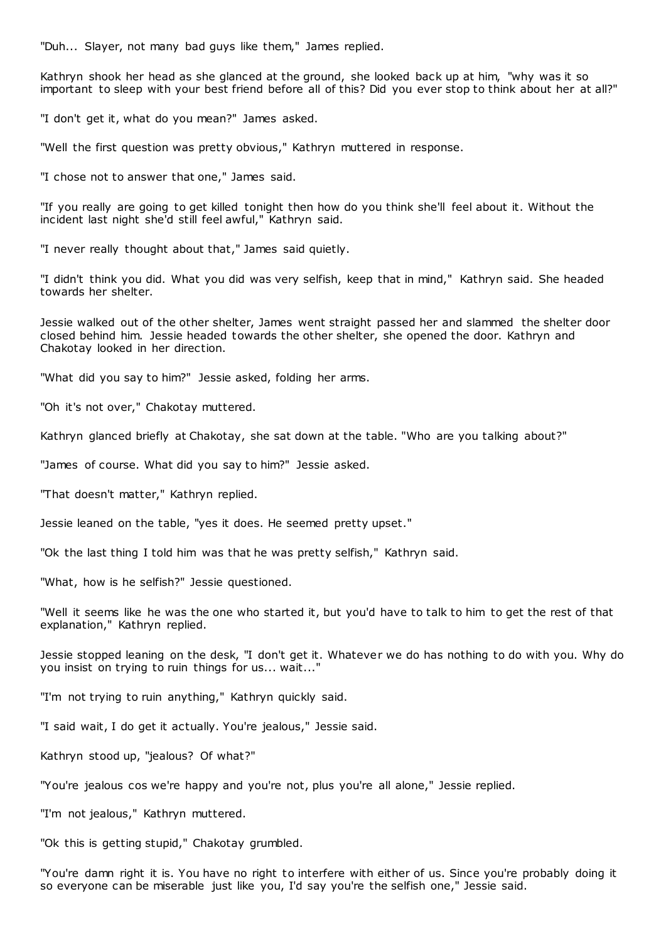"Duh... Slayer, not many bad guys like them," James replied.

Kathryn shook her head as she glanced at the ground, she looked back up at him, "why was it so important to sleep with your best friend before all of this? Did you ever stop to think about her at all?"

"I don't get it, what do you mean?" James asked.

"Well the first question was pretty obvious," Kathryn muttered in response.

"I chose not to answer that one," James said.

"If you really are going to get killed tonight then how do you think she'll feel about it. Without the incident last night she'd still feel awful," Kathryn said.

"I never really thought about that," James said quietly.

"I didn't think you did. What you did was very selfish, keep that in mind," Kathryn said. She headed towards her shelter.

Jessie walked out of the other shelter, James went straight passed her and slammed the shelter door closed behind him. Jessie headed towards the other shelter, she opened the door. Kathryn and Chakotay looked in her direction.

"What did you say to him?" Jessie asked, folding her arms.

"Oh it's not over," Chakotay muttered.

Kathryn glanced briefly at Chakotay, she sat down at the table. "Who are you talking about?"

"James of course. What did you say to him?" Jessie asked.

"That doesn't matter," Kathryn replied.

Jessie leaned on the table, "yes it does. He seemed pretty upset."

"Ok the last thing I told him was that he was pretty selfish," Kathryn said.

"What, how is he selfish?" Jessie questioned.

"Well it seems like he was the one who started it, but you'd have to talk to him to get the rest of that explanation," Kathryn replied.

Jessie stopped leaning on the desk, "I don't get it. Whatever we do has nothing to do with you. Why do you insist on trying to ruin things for us... wait..."

"I'm not trying to ruin anything," Kathryn quickly said.

"I said wait, I do get it actually. You're jealous," Jessie said.

Kathryn stood up, "jealous? Of what?"

"You're jealous cos we're happy and you're not, plus you're all alone," Jessie replied.

"I'm not jealous," Kathryn muttered.

"Ok this is getting stupid," Chakotay grumbled.

"You're damn right it is. You have no right to interfere with either of us. Since you're probably doing it so everyone can be miserable just like you, I'd say you're the selfish one," Jessie said.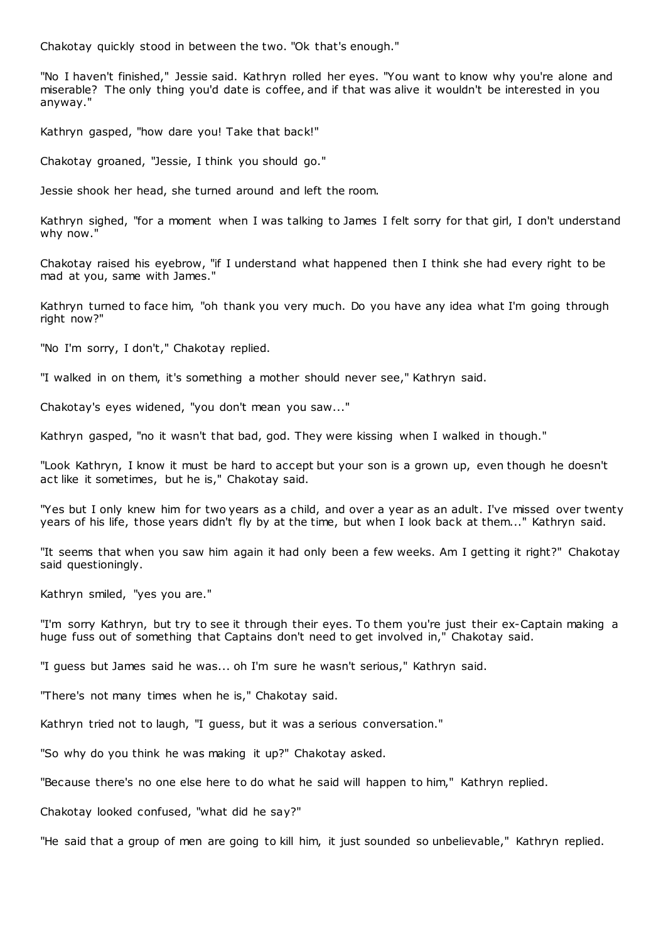Chakotay quickly stood in between the two. "Ok that's enough."

"No I haven't finished," Jessie said. Kathryn rolled her eyes. "You want to know why you're alone and miserable? The only thing you'd date is coffee, and if that was alive it wouldn't be interested in you anyway."

Kathryn gasped, "how dare you! Take that back!"

Chakotay groaned, "Jessie, I think you should go."

Jessie shook her head, she turned around and left the room.

Kathryn sighed, "for a moment when I was talking to James I felt sorry for that girl, I don't understand why now."

Chakotay raised his eyebrow, "if I understand what happened then I think she had every right to be mad at you, same with James."

Kathryn turned to face him, "oh thank you very much. Do you have any idea what I'm going through right now?"

"No I'm sorry, I don't," Chakotay replied.

"I walked in on them, it's something a mother should never see," Kathryn said.

Chakotay's eyes widened, "you don't mean you saw..."

Kathryn gasped, "no it wasn't that bad, god. They were kissing when I walked in though."

"Look Kathryn, I know it must be hard to accept but your son is a grown up, even though he doesn't act like it sometimes, but he is," Chakotay said.

"Yes but I only knew him for two years as a child, and over a year as an adult. I've missed over twenty years of his life, those years didn't fly by at the time, but when I look back at them..." Kathryn said.

"It seems that when you saw him again it had only been a few weeks. Am I getting it right?" Chakotay said questioningly.

Kathryn smiled, "yes you are."

"I'm sorry Kathryn, but try to see it through their eyes. To them you're just their ex-Captain making a huge fuss out of something that Captains don't need to get involved in," Chakotay said.

"I guess but James said he was... oh I'm sure he wasn't serious," Kathryn said.

"There's not many times when he is," Chakotay said.

Kathryn tried not to laugh, "I guess, but it was a serious conversation."

"So why do you think he was making it up?" Chakotay asked.

"Because there's no one else here to do what he said will happen to him," Kathryn replied.

Chakotay looked confused, "what did he say?"

"He said that a group of men are going to kill him, it just sounded so unbelievable," Kathryn replied.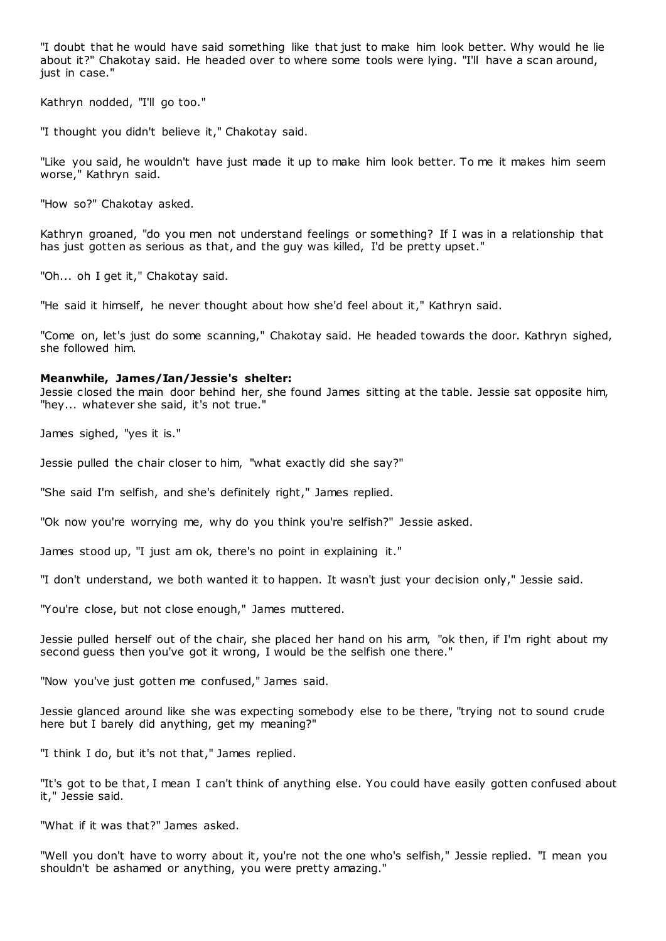"I doubt that he would have said something like that just to make him look better. Why would he lie about it?" Chakotay said. He headed over to where some tools were lying. "I'll have a scan around, just in case."

Kathryn nodded, "I'll go too."

"I thought you didn't believe it," Chakotay said.

"Like you said, he wouldn't have just made it up to make him look better. To me it makes him seem worse," Kathryn said.

"How so?" Chakotay asked.

Kathryn groaned, "do you men not understand feelings or something? If I was in a relationship that has just gotten as serious as that, and the guy was killed, I'd be pretty upset."

"Oh... oh I get it," Chakotay said.

"He said it himself, he never thought about how she'd feel about it," Kathryn said.

"Come on, let's just do some scanning," Chakotay said. He headed towards the door. Kathryn sighed, she followed him.

#### **Meanwhile, James/Ian/Jessie's shelter:**

Jessie closed the main door behind her, she found James sitting at the table. Jessie sat opposite him, "hey... whatever she said, it's not true."

James sighed, "yes it is."

Jessie pulled the chair closer to him, "what exactly did she say?"

"She said I'm selfish, and she's definitely right," James replied.

"Ok now you're worrying me, why do you think you're selfish?" Jessie asked.

James stood up, "I just am ok, there's no point in explaining it."

"I don't understand, we both wanted it to happen. It wasn't just your decision only," Jessie said.

"You're close, but not close enough," James muttered.

Jessie pulled herself out of the chair, she placed her hand on his arm, "ok then, if I'm right about my second guess then you've got it wrong, I would be the selfish one there."

"Now you've just gotten me confused," James said.

Jessie glanced around like she was expecting somebody else to be there, "trying not to sound crude here but I barely did anything, get my meaning?"

"I think I do, but it's not that," James replied.

"It's got to be that, I mean I can't think of anything else. You could have easily gotten confused about it," Jessie said.

"What if it was that?" James asked.

"Well you don't have to worry about it, you're not the one who's selfish," Jessie replied. "I mean you shouldn't be ashamed or anything, you were pretty amazing."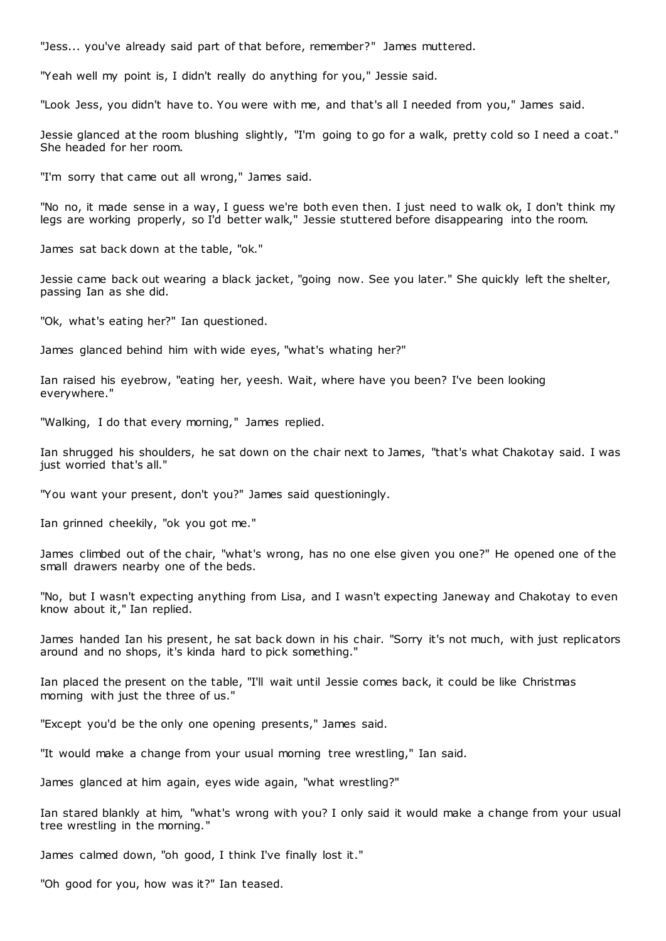"Jess... you've already said part of that before, remember?" James muttered.

"Yeah well my point is, I didn't really do anything for you," Jessie said.

"Look Jess, you didn't have to. You were with me, and that's all I needed from you," James said.

Jessie glanced at the room blushing slightly, "I'm going to go for a walk, pretty cold so I need a coat." She headed for her room.

"I'm sorry that came out all wrong," James said.

"No no, it made sense in a way, I guess we're both even then. I just need to walk ok, I don't think my legs are working properly, so I'd better walk," Jessie stuttered before disappearing into the room.

James sat back down at the table, "ok."

Jessie came back out wearing a black jacket, "going now. See you later." She quickly left the shelter, passing Ian as she did.

"Ok, what's eating her?" Ian questioned.

James glanced behind him with wide eyes, "what's whating her?"

Ian raised his eyebrow, "eating her, yeesh. Wait, where have you been? I've been looking everywhere."

"Walking, I do that every morning," James replied.

Ian shrugged his shoulders, he sat down on the chair next to James, "that's what Chakotay said. I was just worried that's all."

"You want your present, don't you?" James said questioningly.

Ian grinned cheekily, "ok you got me."

James climbed out of the chair, "what's wrong, has no one else given you one?" He opened one of the small drawers nearby one of the beds.

"No, but I wasn't expecting anything from Lisa, and I wasn't expecting Janeway and Chakotay to even know about it," Ian replied.

James handed Ian his present, he sat back down in his chair. "Sorry it's not much, with just replicators around and no shops, it's kinda hard to pick something."

Ian placed the present on the table, "I'll wait until Jessie comes back, it could be like Christmas morning with just the three of us."

"Except you'd be the only one opening presents," James said.

"It would make a change from your usual morning tree wrestling," Ian said.

James glanced at him again, eyes wide again, "what wrestling?"

Ian stared blankly at him, "what's wrong with you? I only said it would make a change from your usual tree wrestling in the morning."

James calmed down, "oh good, I think I've finally lost it."

"Oh good for you, how was it?" Ian teased.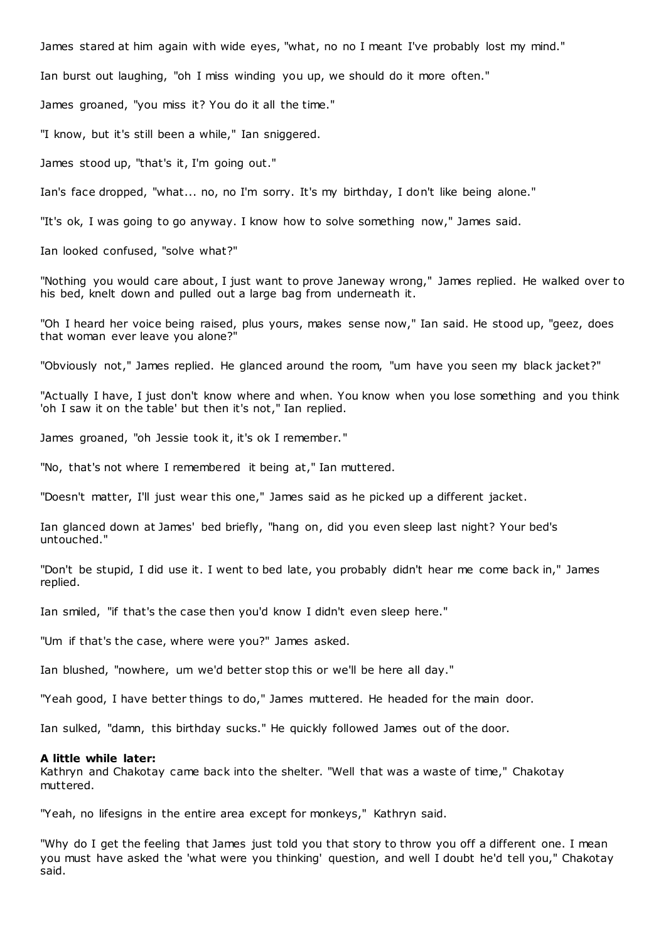James stared at him again with wide eyes, "what, no no I meant I've probably lost my mind."

Ian burst out laughing, "oh I miss winding you up, we should do it more often."

James groaned, "you miss it? You do it all the time."

"I know, but it's still been a while," Ian sniggered.

James stood up, "that's it, I'm going out."

Ian's face dropped, "what... no, no I'm sorry. It's my birthday, I don't like being alone."

"It's ok, I was going to go anyway. I know how to solve something now," James said.

Ian looked confused, "solve what?"

"Nothing you would care about, I just want to prove Janeway wrong," James replied. He walked over to his bed, knelt down and pulled out a large bag from underneath it.

"Oh I heard her voice being raised, plus yours, makes sense now," Ian said. He stood up, "geez, does that woman ever leave you alone?"

"Obviously not," James replied. He glanced around the room, "um have you seen my black jacket?"

"Actually I have, I just don't know where and when. You know when you lose something and you think 'oh I saw it on the table' but then it's not," Ian replied.

James groaned, "oh Jessie took it, it's ok I remember."

"No, that's not where I remembered it being at," Ian muttered.

"Doesn't matter, I'll just wear this one," James said as he picked up a different jacket.

Ian glanced down at James' bed briefly, "hang on, did you even sleep last night? Your bed's untouched."

"Don't be stupid, I did use it. I went to bed late, you probably didn't hear me come back in," James replied.

Ian smiled, "if that's the case then you'd know I didn't even sleep here."

"Um if that's the case, where were you?" James asked.

Ian blushed, "nowhere, um we'd better stop this or we'll be here all day."

"Yeah good, I have better things to do," James muttered. He headed for the main door.

Ian sulked, "damn, this birthday sucks." He quickly followed James out of the door.

#### **A little while later:**

Kathryn and Chakotay came back into the shelter. "Well that was a waste of time," Chakotay muttered.

"Yeah, no lifesigns in the entire area except for monkeys," Kathryn said.

"Why do I get the feeling that James just told you that story to throw you off a different one. I mean you must have asked the 'what were you thinking' question, and well I doubt he'd tell you," Chakotay said.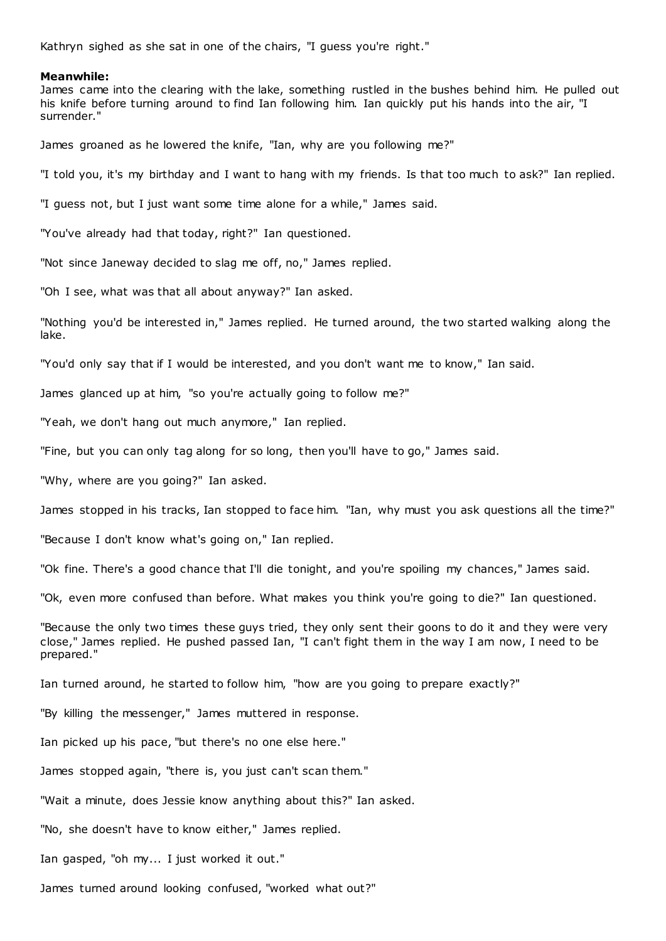Kathryn sighed as she sat in one of the chairs, "I guess you're right."

#### **Meanwhile:**

James came into the clearing with the lake, something rustled in the bushes behind him. He pulled out his knife before turning around to find Ian following him. Ian quickly put his hands into the air, "I surrender."

James groaned as he lowered the knife, "Ian, why are you following me?"

"I told you, it's my birthday and I want to hang with my friends. Is that too much to ask?" Ian replied.

"I guess not, but I just want some time alone for a while," James said.

"You've already had that today, right?" Ian questioned.

"Not since Janeway decided to slag me off, no," James replied.

"Oh I see, what was that all about anyway?" Ian asked.

"Nothing you'd be interested in," James replied. He turned around, the two started walking along the lake.

"You'd only say that if I would be interested, and you don't want me to know," Ian said.

James glanced up at him, "so you're actually going to follow me?"

"Yeah, we don't hang out much anymore," Ian replied.

"Fine, but you can only tag along for so long, then you'll have to go," James said.

"Why, where are you going?" Ian asked.

James stopped in his tracks, Ian stopped to face him. "Ian, why must you ask questions all the time?"

"Because I don't know what's going on," Ian replied.

"Ok fine. There's a good chance that I'll die tonight, and you're spoiling my chances," James said.

"Ok, even more confused than before. What makes you think you're going to die?" Ian questioned.

"Because the only two times these guys tried, they only sent their goons to do it and they were very close," James replied. He pushed passed Ian, "I can't fight them in the way I am now, I need to be prepared."

Ian turned around, he started to follow him, "how are you going to prepare exactly?"

"By killing the messenger," James muttered in response.

Ian picked up his pace, "but there's no one else here."

James stopped again, "there is, you just can't scan them."

"Wait a minute, does Jessie know anything about this?" Ian asked.

"No, she doesn't have to know either," James replied.

Ian gasped, "oh my... I just worked it out."

James turned around looking confused, "worked what out?"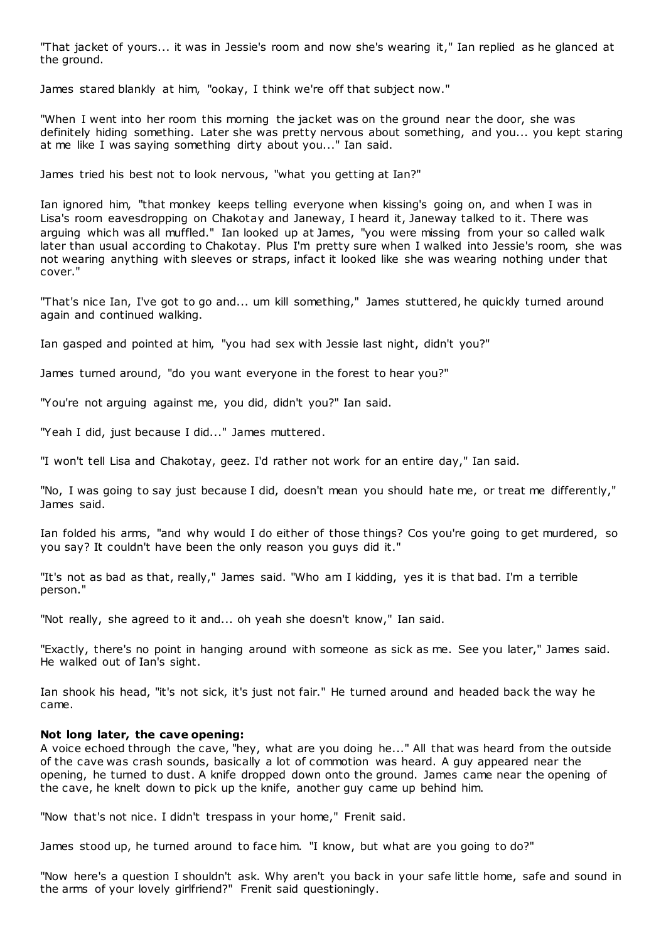"That jacket of yours... it was in Jessie's room and now she's wearing it," Ian replied as he glanced at the ground.

James stared blankly at him, "ookay, I think we're off that subject now."

"When I went into her room this morning the jacket was on the ground near the door, she was definitely hiding something. Later she was pretty nervous about something, and you... you kept staring at me like I was saying something dirty about you..." Ian said.

James tried his best not to look nervous, "what you getting at Ian?"

Ian ignored him, "that monkey keeps telling everyone when kissing's going on, and when I was in Lisa's room eavesdropping on Chakotay and Janeway, I heard it, Janeway talked to it. There was arguing which was all muffled." Ian looked up at James, "you were missing from your so called walk later than usual according to Chakotay. Plus I'm pretty sure when I walked into Jessie's room, she was not wearing anything with sleeves or straps, infact it looked like she was wearing nothing under that cover."

"That's nice Ian, I've got to go and... um kill something," James stuttered, he quickly turned around again and continued walking.

Ian gasped and pointed at him, "you had sex with Jessie last night, didn't you?"

James turned around, "do you want everyone in the forest to hear you?"

"You're not arguing against me, you did, didn't you?" Ian said.

"Yeah I did, just because I did..." James muttered.

"I won't tell Lisa and Chakotay, geez. I'd rather not work for an entire day," Ian said.

"No, I was going to say just because I did, doesn't mean you should hate me, or treat me differently," James said.

Ian folded his arms, "and why would I do either of those things? Cos you're going to get murdered, so you say? It couldn't have been the only reason you guys did it."

"It's not as bad as that, really," James said. "Who am I kidding, yes it is that bad. I'm a terrible person."

"Not really, she agreed to it and... oh yeah she doesn't know," Ian said.

"Exactly, there's no point in hanging around with someone as sick as me. See you later," James said. He walked out of Ian's sight.

Ian shook his head, "it's not sick, it's just not fair." He turned around and headed back the way he came.

## **Not long later, the cave opening:**

A voice echoed through the cave, "hey, what are you doing he..." All that was heard from the outside of the cave was crash sounds, basically a lot of commotion was heard. A guy appeared near the opening, he turned to dust. A knife dropped down onto the ground. James came near the opening of the cave, he knelt down to pick up the knife, another guy came up behind him.

"Now that's not nice. I didn't trespass in your home," Frenit said.

James stood up, he turned around to face him. "I know, but what are you going to do?"

"Now here's a question I shouldn't ask. Why aren't you back in your safe little home, safe and sound in the arms of your lovely girlfriend?" Frenit said questioningly.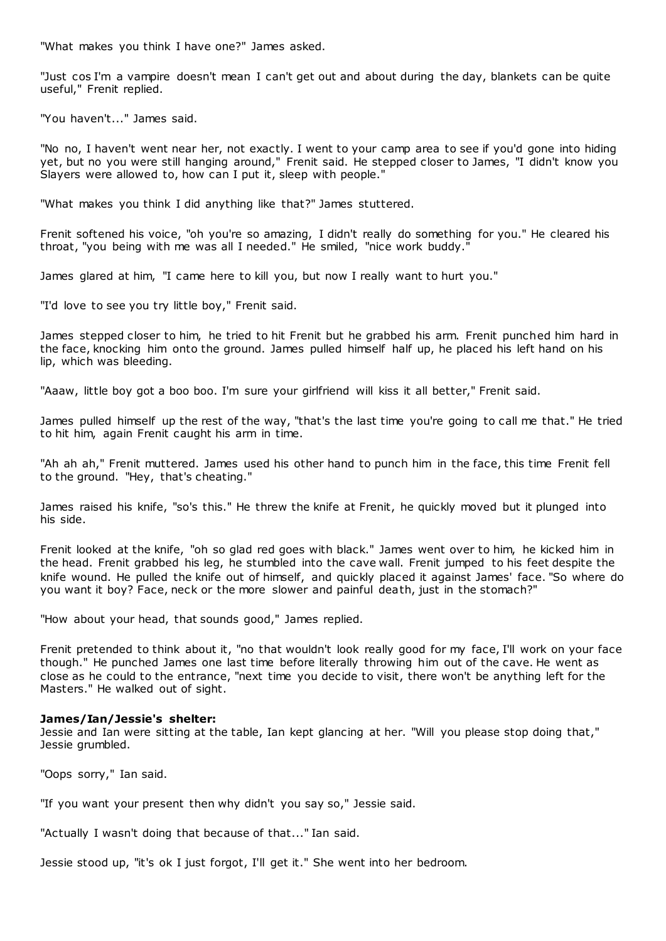"What makes you think I have one?" James asked.

"Just cos I'm a vampire doesn't mean I can't get out and about during the day, blankets can be quite useful," Frenit replied.

"You haven't..." James said.

"No no, I haven't went near her, not exactly. I went to your camp area to see if you'd gone into hiding yet, but no you were still hanging around," Frenit said. He stepped closer to James, "I didn't know you Slayers were allowed to, how can I put it, sleep with people."

"What makes you think I did anything like that?" James stuttered.

Frenit softened his voice, "oh you're so amazing, I didn't really do something for you." He cleared his throat, "you being with me was all I needed." He smiled, "nice work buddy."

James glared at him, "I came here to kill you, but now I really want to hurt you."

"I'd love to see you try little boy," Frenit said.

James stepped closer to him, he tried to hit Frenit but he grabbed his arm. Frenit punched him hard in the face, knocking him onto the ground. James pulled himself half up, he placed his left hand on his lip, which was bleeding.

"Aaaw, little boy got a boo boo. I'm sure your girlfriend will kiss it all better," Frenit said.

James pulled himself up the rest of the way, "that's the last time you're going to call me that." He tried to hit him, again Frenit caught his arm in time.

"Ah ah ah," Frenit muttered. James used his other hand to punch him in the face, this time Frenit fell to the ground. "Hey, that's cheating."

James raised his knife, "so's this." He threw the knife at Frenit, he quickly moved but it plunged into his side.

Frenit looked at the knife, "oh so glad red goes with black." James went over to him, he kicked him in the head. Frenit grabbed his leg, he stumbled into the cave wall. Frenit jumped to his feet despite the knife wound. He pulled the knife out of himself, and quickly placed it against James' face. "So where do you want it boy? Face, neck or the more slower and painful death, just in the stomach?"

"How about your head, that sounds good," James replied.

Frenit pretended to think about it, "no that wouldn't look really good for my face, I'll work on your face though." He punched James one last time before literally throwing him out of the cave. He went as close as he could to the entrance, "next time you decide to visit, there won't be anything left for the Masters." He walked out of sight.

#### **James/Ian/Jessie's shelter:**

Jessie and Ian were sitting at the table, Ian kept glancing at her. "Will you please stop doing that," Jessie grumbled.

"Oops sorry," Ian said.

"If you want your present then why didn't you say so," Jessie said.

"Actually I wasn't doing that because of that..." Ian said.

Jessie stood up, "it's ok I just forgot, I'll get it." She went into her bedroom.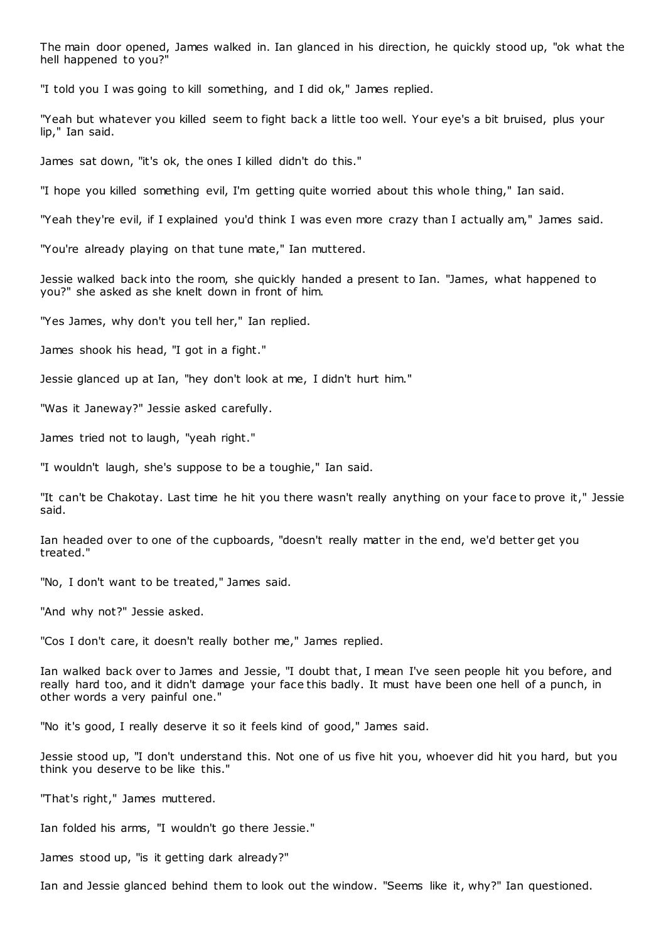The main door opened, James walked in. Ian glanced in his direction, he quickly stood up, "ok what the hell happened to you?"

"I told you I was going to kill something, and I did ok," James replied.

"Yeah but whatever you killed seem to fight back a little too well. Your eye's a bit bruised, plus your lip," Ian said.

James sat down, "it's ok, the ones I killed didn't do this."

"I hope you killed something evil, I'm getting quite worried about this whole thing," Ian said.

"Yeah they're evil, if I explained you'd think I was even more crazy than I actually am," James said.

"You're already playing on that tune mate," Ian muttered.

Jessie walked back into the room, she quickly handed a present to Ian. "James, what happened to you?" she asked as she knelt down in front of him.

"Yes James, why don't you tell her," Ian replied.

James shook his head, "I got in a fight."

Jessie glanced up at Ian, "hey don't look at me, I didn't hurt him."

"Was it Janeway?" Jessie asked carefully.

James tried not to laugh, "yeah right."

"I wouldn't laugh, she's suppose to be a toughie," Ian said.

"It can't be Chakotay. Last time he hit you there wasn't really anything on your face to prove it," Jessie said.

Ian headed over to one of the cupboards, "doesn't really matter in the end, we'd better get you treated."

"No, I don't want to be treated," James said.

"And why not?" Jessie asked.

"Cos I don't care, it doesn't really bother me," James replied.

Ian walked back over to James and Jessie, "I doubt that, I mean I've seen people hit you before, and really hard too, and it didn't damage your face this badly. It must have been one hell of a punch, in other words a very painful one."

"No it's good, I really deserve it so it feels kind of good," James said.

Jessie stood up, "I don't understand this. Not one of us five hit you, whoever did hit you hard, but you think you deserve to be like this."

"That's right," James muttered.

Ian folded his arms, "I wouldn't go there Jessie."

James stood up, "is it getting dark already?"

Ian and Jessie glanced behind them to look out the window. "Seems like it, why?" Ian questioned.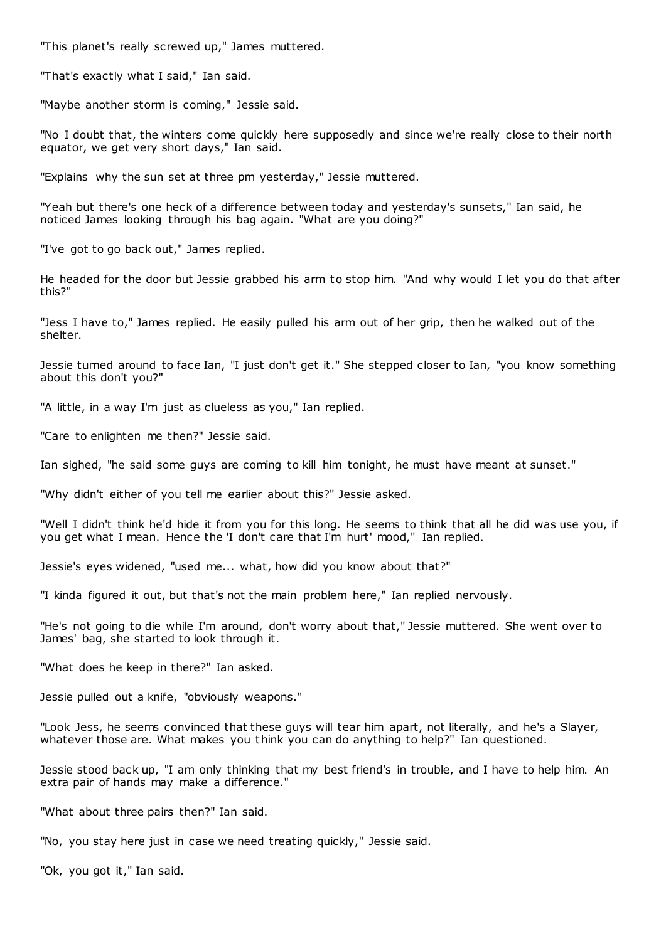"This planet's really screwed up," James muttered.

"That's exactly what I said," Ian said.

"Maybe another storm is coming," Jessie said.

"No I doubt that, the winters come quickly here supposedly and since we're really close to their north equator, we get very short days," Ian said.

"Explains why the sun set at three pm yesterday," Jessie muttered.

"Yeah but there's one heck of a difference between today and yesterday's sunsets," Ian said, he noticed James looking through his bag again. "What are you doing?"

"I've got to go back out," James replied.

He headed for the door but Jessie grabbed his arm to stop him. "And why would I let you do that after this?"

"Jess I have to," James replied. He easily pulled his arm out of her grip, then he walked out of the shelter.

Jessie turned around to face Ian, "I just don't get it." She stepped closer to Ian, "you know something about this don't you?"

"A little, in a way I'm just as clueless as you," Ian replied.

"Care to enlighten me then?" Jessie said.

Ian sighed, "he said some guys are coming to kill him tonight, he must have meant at sunset."

"Why didn't either of you tell me earlier about this?" Jessie asked.

"Well I didn't think he'd hide it from you for this long. He seems to think that all he did was use you, if you get what I mean. Hence the 'I don't care that I'm hurt' mood," Ian replied.

Jessie's eyes widened, "used me... what, how did you know about that?"

"I kinda figured it out, but that's not the main problem here," Ian replied nervously.

"He's not going to die while I'm around, don't worry about that," Jessie muttered. She went over to James' bag, she started to look through it.

"What does he keep in there?" Ian asked.

Jessie pulled out a knife, "obviously weapons."

"Look Jess, he seems convinced that these guys will tear him apart, not literally, and he's a Slayer, whatever those are. What makes you think you can do anything to help?" Ian questioned.

Jessie stood back up, "I am only thinking that my best friend's in trouble, and I have to help him. An extra pair of hands may make a difference."

"What about three pairs then?" Ian said.

"No, you stay here just in case we need treating quickly," Jessie said.

"Ok, you got it," Ian said.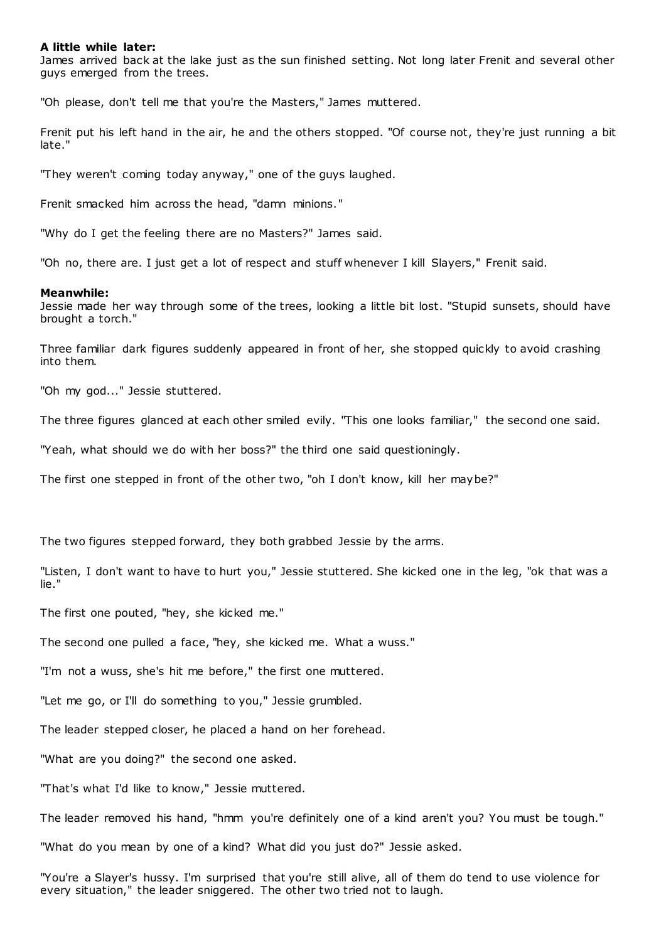#### **A little while later:**

James arrived back at the lake just as the sun finished setting. Not long later Frenit and several other guys emerged from the trees.

"Oh please, don't tell me that you're the Masters," James muttered.

Frenit put his left hand in the air, he and the others stopped. "Of course not, they're just running a bit late."

"They weren't coming today anyway," one of the guys laughed.

Frenit smacked him across the head, "damn minions."

"Why do I get the feeling there are no Masters?" James said.

"Oh no, there are. I just get a lot of respect and stuff whenever I kill Slayers," Frenit said.

#### **Meanwhile:**

Jessie made her way through some of the trees, looking a little bit lost. "Stupid sunsets, should have brought a torch."

Three familiar dark figures suddenly appeared in front of her, she stopped quickly to avoid crashing into them.

"Oh my god..." Jessie stuttered.

The three figures glanced at each other smiled evily. "This one looks familiar," the second one said.

"Yeah, what should we do with her boss?" the third one said questioningly.

The first one stepped in front of the other two, "oh I don't know, kill her maybe?"

The two figures stepped forward, they both grabbed Jessie by the arms.

"Listen, I don't want to have to hurt you," Jessie stuttered. She kicked one in the leg, "ok that was a lie."

The first one pouted, "hey, she kicked me."

The second one pulled a face, "hey, she kicked me. What a wuss."

"I'm not a wuss, she's hit me before," the first one muttered.

"Let me go, or I'll do something to you," Jessie grumbled.

The leader stepped closer, he placed a hand on her forehead.

"What are you doing?" the second one asked.

"That's what I'd like to know," Jessie muttered.

The leader removed his hand, "hmm you're definitely one of a kind aren't you? You must be tough."

"What do you mean by one of a kind? What did you just do?" Jessie asked.

"You're a Slayer's hussy. I'm surprised that you're still alive, all of them do tend to use violence for every situation," the leader sniggered. The other two tried not to laugh.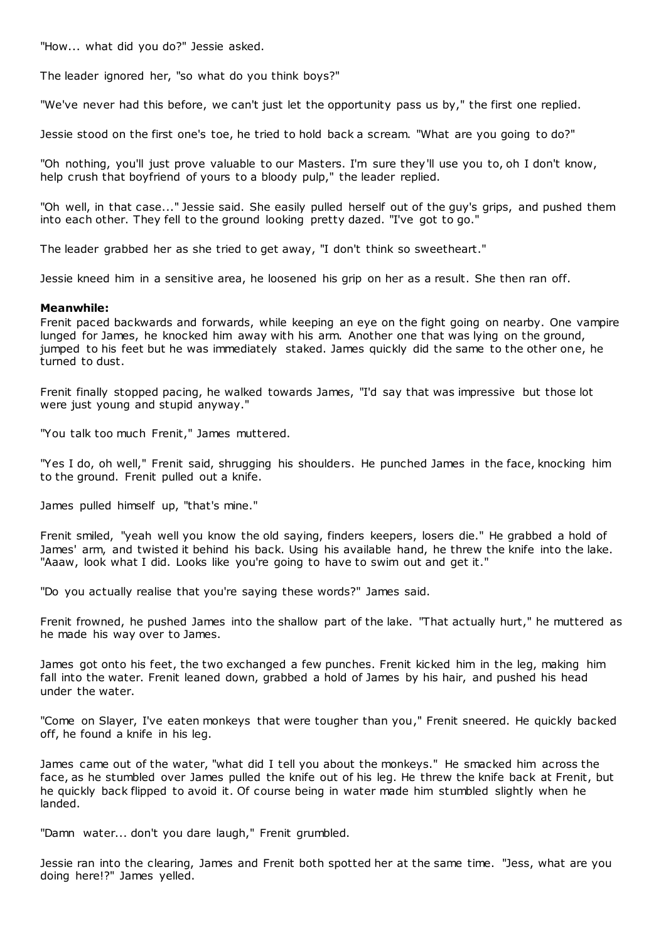"How... what did you do?" Jessie asked.

The leader ignored her, "so what do you think boys?"

"We've never had this before, we can't just let the opportunity pass us by," the first one replied.

Jessie stood on the first one's toe, he tried to hold back a scream. "What are you going to do?"

"Oh nothing, you'll just prove valuable to our Masters. I'm sure they'll use you to, oh I don't know, help crush that boyfriend of yours to a bloody pulp," the leader replied.

"Oh well, in that case..." Jessie said. She easily pulled herself out of the guy's grips, and pushed them into each other. They fell to the ground looking pretty dazed. "I've got to go."

The leader grabbed her as she tried to get away, "I don't think so sweetheart."

Jessie kneed him in a sensitive area, he loosened his grip on her as a result. She then ran off.

#### **Meanwhile:**

Frenit paced backwards and forwards, while keeping an eye on the fight going on nearby. One vampire lunged for James, he knocked him away with his arm. Another one that was lying on the ground, jumped to his feet but he was immediately staked. James quickly did the same to the other one, he turned to dust.

Frenit finally stopped pacing, he walked towards James, "I'd say that was impressive but those lot were just young and stupid anyway."

"You talk too much Frenit," James muttered.

"Yes I do, oh well," Frenit said, shrugging his shoulders. He punched James in the face, knocking him to the ground. Frenit pulled out a knife.

James pulled himself up, "that's mine."

Frenit smiled, "yeah well you know the old saying, finders keepers, losers die." He grabbed a hold of James' arm, and twisted it behind his back. Using his available hand, he threw the knife into the lake. "Aaaw, look what I did. Looks like you're going to have to swim out and get it."

"Do you actually realise that you're saying these words?" James said.

Frenit frowned, he pushed James into the shallow part of the lake. "That actually hurt," he muttered as he made his way over to James.

James got onto his feet, the two exchanged a few punches. Frenit kicked him in the leg, making him fall into the water. Frenit leaned down, grabbed a hold of James by his hair, and pushed his head under the water.

"Come on Slayer, I've eaten monkeys that were tougher than you," Frenit sneered. He quickly backed off, he found a knife in his leg.

James came out of the water, "what did I tell you about the monkeys." He smacked him across the face, as he stumbled over James pulled the knife out of his leg. He threw the knife back at Frenit, but he quickly back flipped to avoid it. Of course being in water made him stumbled slightly when he landed.

"Damn water... don't you dare laugh," Frenit grumbled.

Jessie ran into the clearing, James and Frenit both spotted her at the same time. "Jess, what are you doing here!?" James yelled.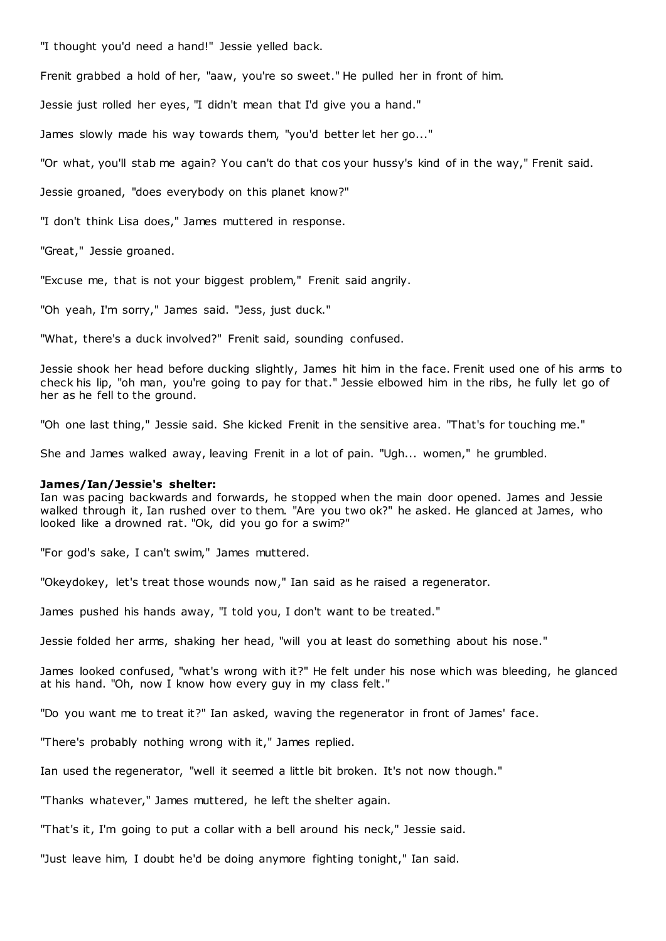"I thought you'd need a hand!" Jessie yelled back.

Frenit grabbed a hold of her, "aaw, you're so sweet." He pulled her in front of him.

Jessie just rolled her eyes, "I didn't mean that I'd give you a hand."

James slowly made his way towards them, "you'd better let her go..."

"Or what, you'll stab me again? You can't do that cos your hussy's kind of in the way," Frenit said.

Jessie groaned, "does everybody on this planet know?"

"I don't think Lisa does," James muttered in response.

"Great," Jessie groaned.

"Excuse me, that is not your biggest problem," Frenit said angrily.

"Oh yeah, I'm sorry," James said. "Jess, just duck."

"What, there's a duck involved?" Frenit said, sounding confused.

Jessie shook her head before ducking slightly, James hit him in the face. Frenit used one of his arms to check his lip, "oh man, you're going to pay for that." Jessie elbowed him in the ribs, he fully let go of her as he fell to the ground.

"Oh one last thing," Jessie said. She kicked Frenit in the sensitive area. "That's for touching me."

She and James walked away, leaving Frenit in a lot of pain. "Ugh... women," he grumbled.

#### **James/Ian/Jessie's shelter:**

Ian was pacing backwards and forwards, he stopped when the main door opened. James and Jessie walked through it, Ian rushed over to them. "Are you two ok?" he asked. He glanced at James, who looked like a drowned rat. "Ok, did you go for a swim?"

"For god's sake, I can't swim," James muttered.

"Okeydokey, let's treat those wounds now," Ian said as he raised a regenerator.

James pushed his hands away, "I told you, I don't want to be treated."

Jessie folded her arms, shaking her head, "will you at least do something about his nose."

James looked confused, "what's wrong with it?" He felt under his nose which was bleeding, he glanced at his hand. "Oh, now I know how every guy in my class felt."

"Do you want me to treat it?" Ian asked, waving the regenerator in front of James' face.

"There's probably nothing wrong with it," James replied.

Ian used the regenerator, "well it seemed a little bit broken. It's not now though."

"Thanks whatever," James muttered, he left the shelter again.

"That's it, I'm going to put a collar with a bell around his neck," Jessie said.

"Just leave him, I doubt he'd be doing anymore fighting tonight," Ian said.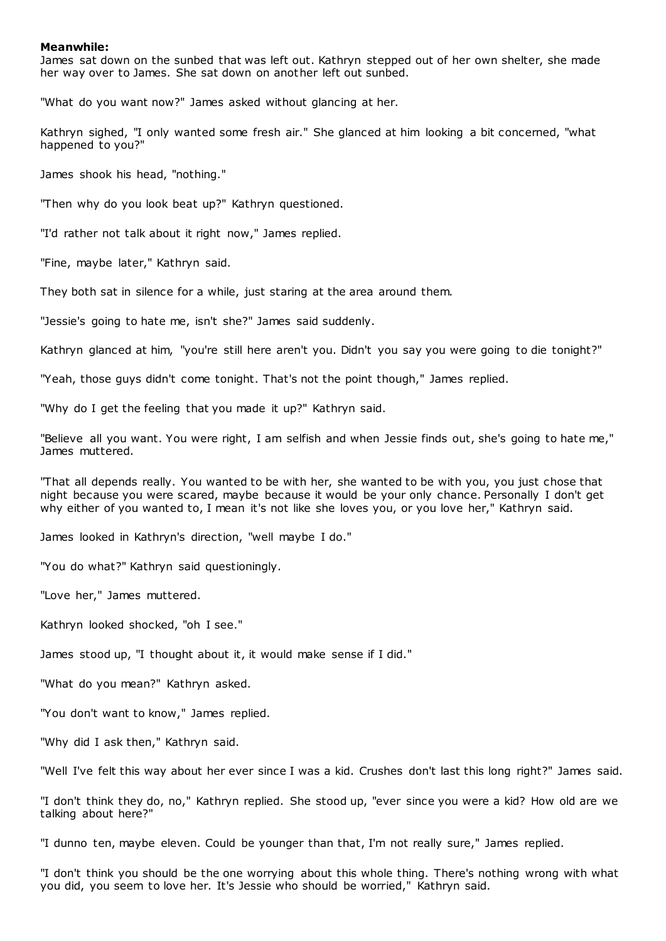#### **Meanwhile:**

James sat down on the sunbed that was left out. Kathryn stepped out of her own shelter, she made her way over to James. She sat down on another left out sunbed.

"What do you want now?" James asked without glancing at her.

Kathryn sighed, "I only wanted some fresh air." She glanced at him looking a bit concerned, "what happened to you?"

James shook his head, "nothing."

"Then why do you look beat up?" Kathryn questioned.

"I'd rather not talk about it right now," James replied.

"Fine, maybe later," Kathryn said.

They both sat in silence for a while, just staring at the area around them.

"Jessie's going to hate me, isn't she?" James said suddenly.

Kathryn glanced at him, "you're still here aren't you. Didn't you say you were going to die tonight?"

"Yeah, those guys didn't come tonight. That's not the point though," James replied.

"Why do I get the feeling that you made it up?" Kathryn said.

"Believe all you want. You were right, I am selfish and when Jessie finds out, she's going to hate me," James muttered.

"That all depends really. You wanted to be with her, she wanted to be with you, you just chose that night because you were scared, maybe because it would be your only chance. Personally I don't get why either of you wanted to, I mean it's not like she loves you, or you love her," Kathryn said.

James looked in Kathryn's direction, "well maybe I do."

"You do what?" Kathryn said questioningly.

"Love her," James muttered.

Kathryn looked shocked, "oh I see."

James stood up, "I thought about it, it would make sense if I did."

"What do you mean?" Kathryn asked.

"You don't want to know," James replied.

"Why did I ask then," Kathryn said.

"Well I've felt this way about her ever since I was a kid. Crushes don't last this long right?" James said.

"I don't think they do, no," Kathryn replied. She stood up, "ever since you were a kid? How old are we talking about here?"

"I dunno ten, maybe eleven. Could be younger than that, I'm not really sure," James replied.

"I don't think you should be the one worrying about this whole thing. There's nothing wrong with what you did, you seem to love her. It's Jessie who should be worried," Kathryn said.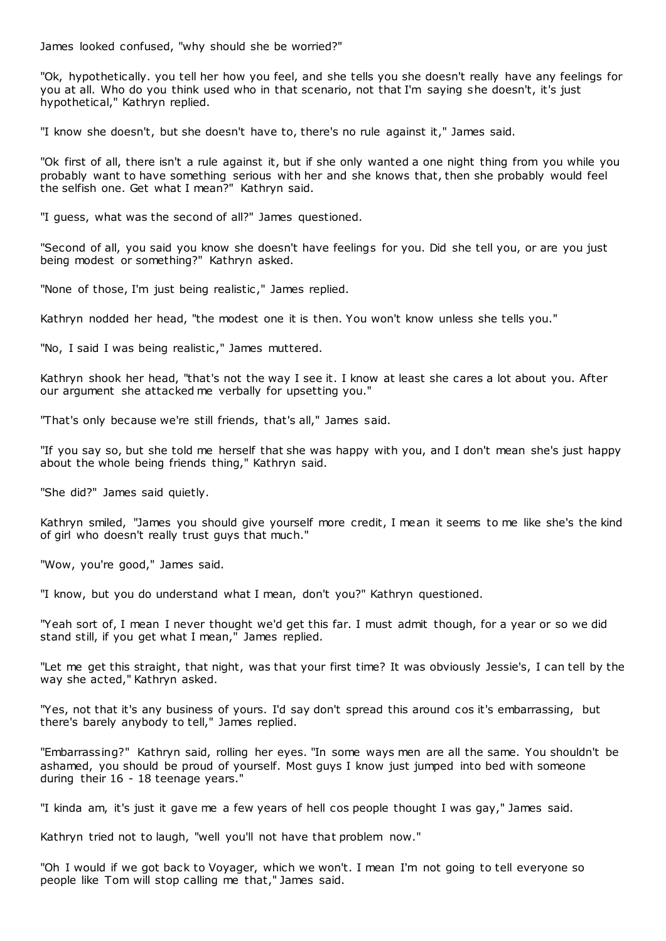James looked confused, "why should she be worried?"

"Ok, hypothetically. you tell her how you feel, and she tells you she doesn't really have any feelings for you at all. Who do you think used who in that scenario, not that I'm saying she doesn't, it's just hypothetical," Kathryn replied.

"I know she doesn't, but she doesn't have to, there's no rule against it," James said.

"Ok first of all, there isn't a rule against it, but if she only wanted a one night thing from you while you probably want to have something serious with her and she knows that, then she probably would feel the selfish one. Get what I mean?" Kathryn said.

"I guess, what was the second of all?" James questioned.

"Second of all, you said you know she doesn't have feelings for you. Did she tell you, or are you just being modest or something?" Kathryn asked.

"None of those, I'm just being realistic ," James replied.

Kathryn nodded her head, "the modest one it is then. You won't know unless she tells you."

"No, I said I was being realistic ," James muttered.

Kathryn shook her head, "that's not the way I see it. I know at least she cares a lot about you. After our argument she attacked me verbally for upsetting you."

"That's only because we're still friends, that's all," James said.

"If you say so, but she told me herself that she was happy with you, and I don't mean she's just happy about the whole being friends thing," Kathryn said.

"She did?" James said quietly.

Kathryn smiled, "James you should give yourself more credit, I mean it seems to me like she's the kind of girl who doesn't really trust guys that much."

"Wow, you're good," James said.

"I know, but you do understand what I mean, don't you?" Kathryn questioned.

"Yeah sort of, I mean I never thought we'd get this far. I must admit though, for a year or so we did stand still, if you get what I mean," James replied.

"Let me get this straight, that night, was that your first time? It was obviously Jessie's, I can tell by the way she acted," Kathryn asked.

"Yes, not that it's any business of yours. I'd say don't spread this around cos it's embarrassing, but there's barely anybody to tell," James replied.

"Embarrassing?" Kathryn said, rolling her eyes. "In some ways men are all the same. You shouldn't be ashamed, you should be proud of yourself. Most guys I know just jumped into bed with someone during their 16 - 18 teenage years."

"I kinda am, it's just it gave me a few years of hell cos people thought I was gay," James said.

Kathryn tried not to laugh, "well you'll not have that problem now."

"Oh I would if we got back to Voyager, which we won't. I mean I'm not going to tell everyone so people like Tom will stop calling me that," James said.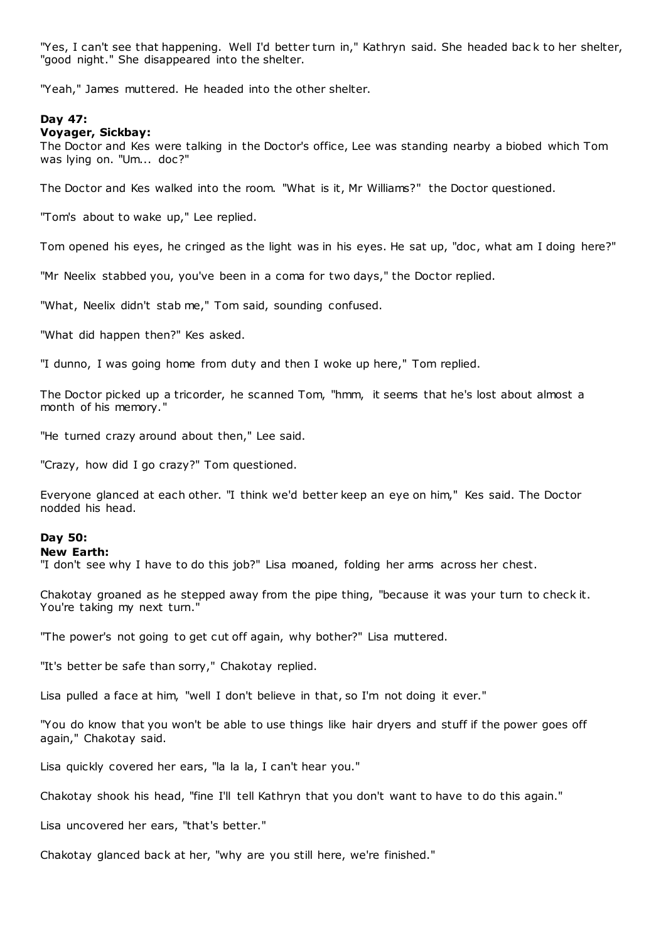"Yes, I can't see that happening. Well I'd better turn in," Kathryn said. She headed bac k to her shelter, "good night." She disappeared into the shelter.

"Yeah," James muttered. He headed into the other shelter.

# **Day 47:**

#### **Voyager, Sickbay:**

The Doctor and Kes were talking in the Doctor's office, Lee was standing nearby a biobed which Tom was lying on. "Um... doc?"

The Doctor and Kes walked into the room. "What is it, Mr Williams?" the Doctor questioned.

"Tom's about to wake up," Lee replied.

Tom opened his eyes, he cringed as the light was in his eyes. He sat up, "doc, what am I doing here?"

"Mr Neelix stabbed you, you've been in a coma for two days," the Doctor replied.

"What, Neelix didn't stab me," Tom said, sounding confused.

"What did happen then?" Kes asked.

"I dunno, I was going home from duty and then I woke up here," Tom replied.

The Doctor picked up a tricorder, he scanned Tom, "hmm, it seems that he's lost about almost a month of his memory."

"He turned crazy around about then," Lee said.

"Crazy, how did I go crazy?" Tom questioned.

Everyone glanced at each other. "I think we'd better keep an eye on him," Kes said. The Doctor nodded his head.

## **Day 50:**

#### **New Earth:**

"I don't see why I have to do this job?" Lisa moaned, folding her arms across her chest.

Chakotay groaned as he stepped away from the pipe thing, "because it was your turn to check it. You're taking my next turn."

"The power's not going to get cut off again, why bother?" Lisa muttered.

"It's better be safe than sorry," Chakotay replied.

Lisa pulled a face at him, "well I don't believe in that, so I'm not doing it ever."

"You do know that you won't be able to use things like hair dryers and stuff if the power goes off again," Chakotay said.

Lisa quickly covered her ears, "la la la, I can't hear you."

Chakotay shook his head, "fine I'll tell Kathryn that you don't want to have to do this again."

Lisa uncovered her ears, "that's better."

Chakotay glanced back at her, "why are you still here, we're finished."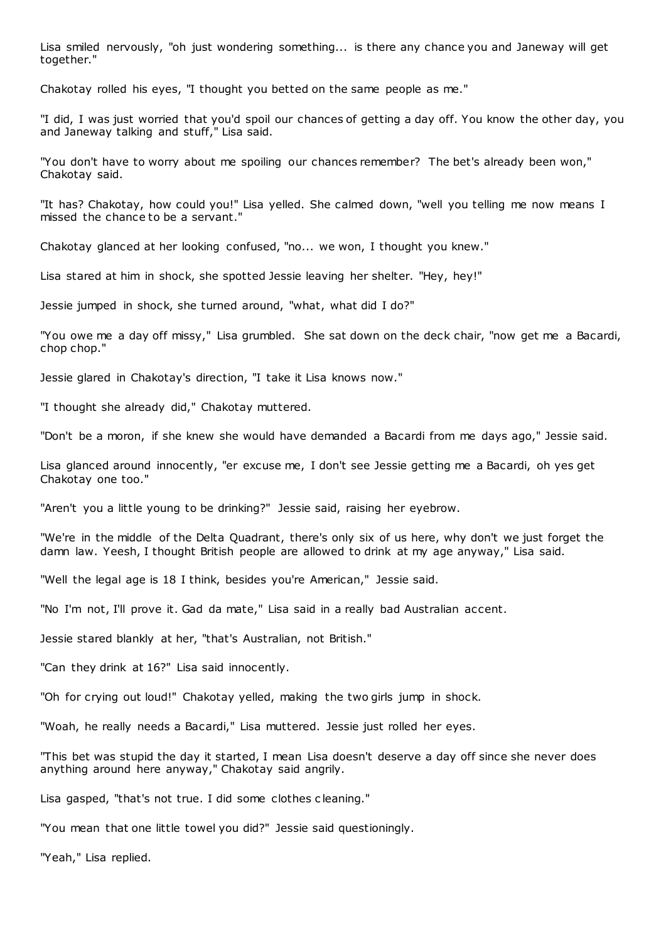Lisa smiled nervously, "oh just wondering something... is there any chance you and Janeway will get together."

Chakotay rolled his eyes, "I thought you betted on the same people as me."

"I did, I was just worried that you'd spoil our chances of getting a day off. You know the other day, you and Janeway talking and stuff," Lisa said.

"You don't have to worry about me spoiling our chances remember? The bet's already been won," Chakotay said.

"It has? Chakotay, how could you!" Lisa yelled. She calmed down, "well you telling me now means I missed the chance to be a servant."

Chakotay glanced at her looking confused, "no... we won, I thought you knew."

Lisa stared at him in shock, she spotted Jessie leaving her shelter. "Hey, hey!"

Jessie jumped in shock, she turned around, "what, what did I do?"

"You owe me a day off missy," Lisa grumbled. She sat down on the deck chair, "now get me a Bacardi, chop chop."

Jessie glared in Chakotay's direction, "I take it Lisa knows now."

"I thought she already did," Chakotay muttered.

"Don't be a moron, if she knew she would have demanded a Bacardi from me days ago," Jessie said.

Lisa glanced around innocently, "er excuse me, I don't see Jessie getting me a Bacardi, oh yes get Chakotay one too."

"Aren't you a little young to be drinking?" Jessie said, raising her eyebrow.

"We're in the middle of the Delta Quadrant, there's only six of us here, why don't we just forget the damn law. Yeesh, I thought British people are allowed to drink at my age anyway," Lisa said.

"Well the legal age is 18 I think, besides you're American," Jessie said.

"No I'm not, I'll prove it. Gad da mate," Lisa said in a really bad Australian accent.

Jessie stared blankly at her, "that's Australian, not British."

"Can they drink at 16?" Lisa said innocently.

"Oh for crying out loud!" Chakotay yelled, making the two girls jump in shock.

"Woah, he really needs a Bacardi," Lisa muttered. Jessie just rolled her eyes.

"This bet was stupid the day it started, I mean Lisa doesn't deserve a day off since she never does anything around here anyway," Chakotay said angrily.

Lisa gasped, "that's not true. I did some clothes c leaning."

"You mean that one little towel you did?" Jessie said questioningly.

"Yeah," Lisa replied.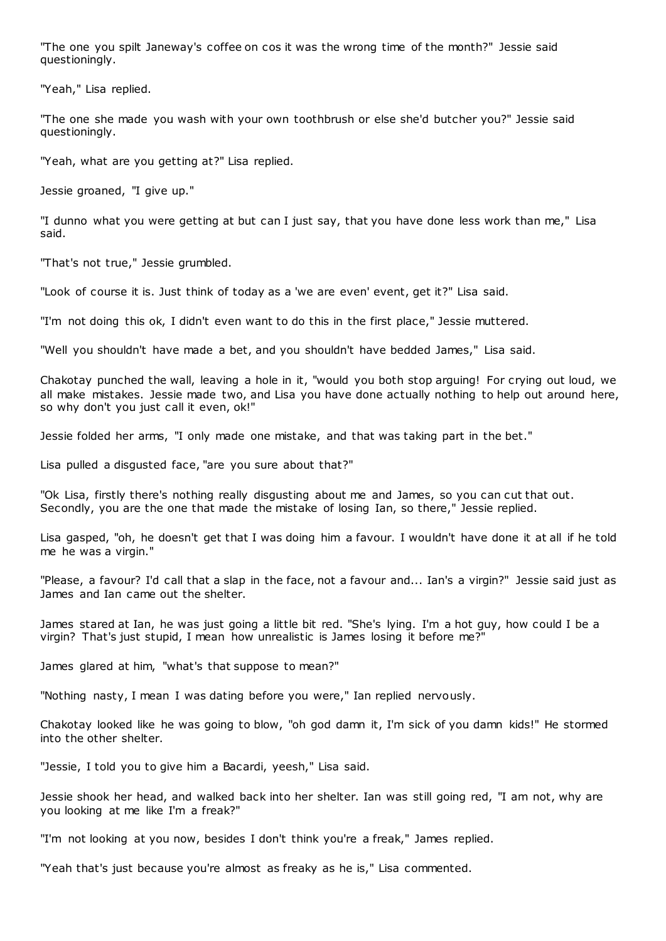"The one you spilt Janeway's coffee on cos it was the wrong time of the month?" Jessie said questioningly.

"Yeah," Lisa replied.

"The one she made you wash with your own toothbrush or else she'd butcher you?" Jessie said questioningly.

"Yeah, what are you getting at?" Lisa replied.

Jessie groaned, "I give up."

"I dunno what you were getting at but can I just say, that you have done less work than me," Lisa said.

"That's not true," Jessie grumbled.

"Look of course it is. Just think of today as a 'we are even' event, get it?" Lisa said.

"I'm not doing this ok, I didn't even want to do this in the first place," Jessie muttered.

"Well you shouldn't have made a bet, and you shouldn't have bedded James," Lisa said.

Chakotay punched the wall, leaving a hole in it, "would you both stop arguing! For crying out loud, we all make mistakes. Jessie made two, and Lisa you have done actually nothing to help out around here, so why don't you just call it even, ok!"

Jessie folded her arms, "I only made one mistake, and that was taking part in the bet."

Lisa pulled a disgusted face, "are you sure about that?"

"Ok Lisa, firstly there's nothing really disgusting about me and James, so you can cut that out. Secondly, you are the one that made the mistake of losing Ian, so there," Jessie replied.

Lisa gasped, "oh, he doesn't get that I was doing him a favour. I wouldn't have done it at all if he told me he was a virgin."

"Please, a favour? I'd call that a slap in the face, not a favour and... Ian's a virgin?" Jessie said just as James and Ian came out the shelter.

James stared at Ian, he was just going a little bit red. "She's lying. I'm a hot guy, how could I be a virgin? That's just stupid, I mean how unrealistic is James losing it before me?"

James glared at him, "what's that suppose to mean?"

"Nothing nasty, I mean I was dating before you were," Ian replied nervously.

Chakotay looked like he was going to blow, "oh god damn it, I'm sick of you damn kids!" He stormed into the other shelter.

"Jessie, I told you to give him a Bacardi, yeesh," Lisa said.

Jessie shook her head, and walked back into her shelter. Ian was still going red, "I am not, why are you looking at me like I'm a freak?"

"I'm not looking at you now, besides I don't think you're a freak," James replied.

"Yeah that's just because you're almost as freaky as he is," Lisa commented.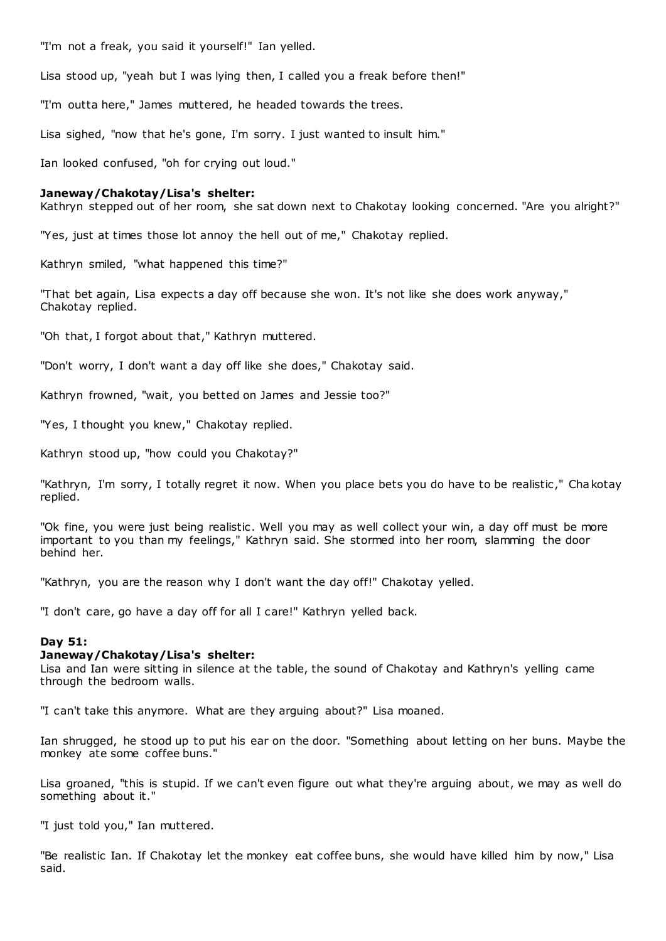"I'm not a freak, you said it yourself!" Ian yelled.

Lisa stood up, "yeah but I was lying then, I called you a freak before then!"

"I'm outta here," James muttered, he headed towards the trees.

Lisa sighed, "now that he's gone, I'm sorry. I just wanted to insult him."

Ian looked confused, "oh for crying out loud."

## **Janeway/Chakotay/Lisa's shelter:**

Kathryn stepped out of her room, she sat down next to Chakotay looking concerned. "Are you alright?"

"Yes, just at times those lot annoy the hell out of me," Chakotay replied.

Kathryn smiled, "what happened this time?"

"That bet again, Lisa expects a day off because she won. It's not like she does work anyway," Chakotay replied.

"Oh that, I forgot about that," Kathryn muttered.

"Don't worry, I don't want a day off like she does," Chakotay said.

Kathryn frowned, "wait, you betted on James and Jessie too?"

"Yes, I thought you knew," Chakotay replied.

Kathryn stood up, "how could you Chakotay?"

"Kathryn, I'm sorry, I totally regret it now. When you place bets you do have to be realistic ," Chakotay replied.

"Ok fine, you were just being realistic . Well you may as well collect your win, a day off must be more important to you than my feelings," Kathryn said. She stormed into her room, slamming the door behind her.

"Kathryn, you are the reason why I don't want the day off!" Chakotay yelled.

"I don't care, go have a day off for all I care!" Kathryn yelled back.

## **Day 51:**

## **Janeway/Chakotay/Lisa's shelter:**

Lisa and Ian were sitting in silence at the table, the sound of Chakotay and Kathryn's yelling came through the bedroom walls.

"I can't take this anymore. What are they arguing about?" Lisa moaned.

Ian shrugged, he stood up to put his ear on the door. "Something about letting on her buns. Maybe the monkey ate some coffee buns."

Lisa groaned, "this is stupid. If we can't even figure out what they're arguing about, we may as well do something about it."

"I just told you," Ian muttered.

"Be realistic Ian. If Chakotay let the monkey eat coffee buns, she would have killed him by now," Lisa said.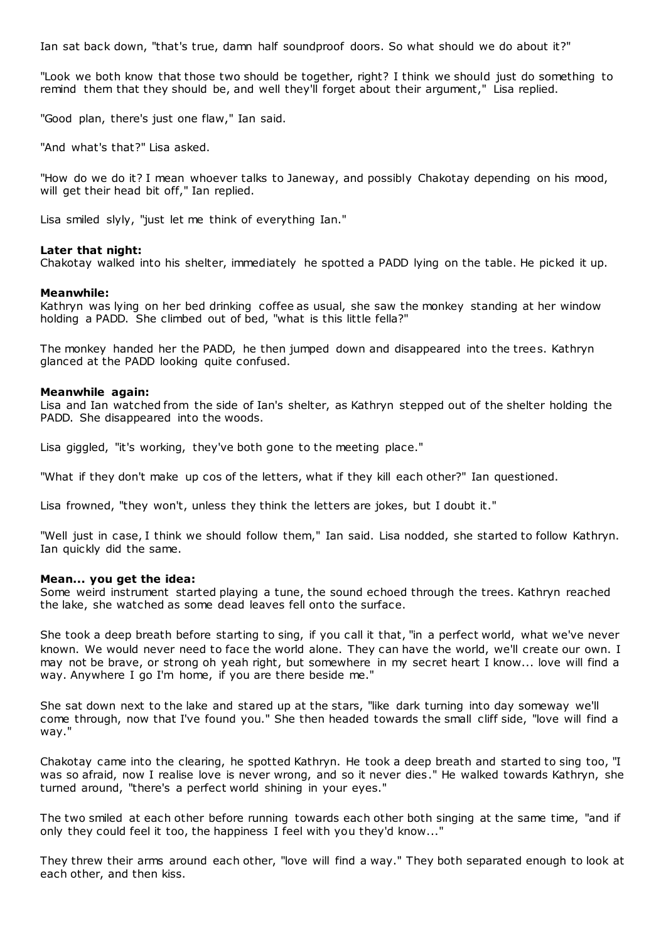Ian sat back down, "that's true, damn half soundproof doors. So what should we do about it?"

"Look we both know that those two should be together, right? I think we should just do something to remind them that they should be, and well they'll forget about their argument," Lisa replied.

"Good plan, there's just one flaw," Ian said.

"And what's that?" Lisa asked.

"How do we do it? I mean whoever talks to Janeway, and possibly Chakotay depending on his mood, will get their head bit off," Ian replied.

Lisa smiled slyly, "just let me think of everything Ian."

## **Later that night:**

Chakotay walked into his shelter, immediately he spotted a PADD lying on the table. He picked it up.

# **Meanwhile:**

Kathryn was lying on her bed drinking coffee as usual, she saw the monkey standing at her window holding a PADD. She climbed out of bed, "what is this little fella?"

The monkey handed her the PADD, he then jumped down and disappeared into the trees. Kathryn glanced at the PADD looking quite confused.

#### **Meanwhile again:**

Lisa and Ian watched from the side of Ian's shelter, as Kathryn stepped out of the shelter holding the PADD. She disappeared into the woods.

Lisa giggled, "it's working, they've both gone to the meeting place."

"What if they don't make up cos of the letters, what if they kill each other?" Ian questioned.

Lisa frowned, "they won't, unless they think the letters are jokes, but I doubt it."

"Well just in case, I think we should follow them," Ian said. Lisa nodded, she started to follow Kathryn. Ian quickly did the same.

## **Mean... you get the idea:**

Some weird instrument started playing a tune, the sound echoed through the trees. Kathryn reached the lake, she watched as some dead leaves fell onto the surface.

She took a deep breath before starting to sing, if you call it that, "in a perfect world, what we've never known. We would never need to face the world alone. They can have the world, we'll create our own. I may not be brave, or strong oh yeah right, but somewhere in my secret heart I know... love will find a way. Anywhere I go I'm home, if you are there beside me."

She sat down next to the lake and stared up at the stars, "like dark turning into day someway we'll come through, now that I've found you." She then headed towards the small cliff side, "love will find a way."

Chakotay came into the clearing, he spotted Kathryn. He took a deep breath and started to sing too, "I was so afraid, now I realise love is never wrong, and so it never dies." He walked towards Kathryn, she turned around, "there's a perfect world shining in your eyes."

The two smiled at each other before running towards each other both singing at the same time, "and if only they could feel it too, the happiness I feel with you they'd know..."

They threw their arms around each other, "love will find a way." They both separated enough to look at each other, and then kiss.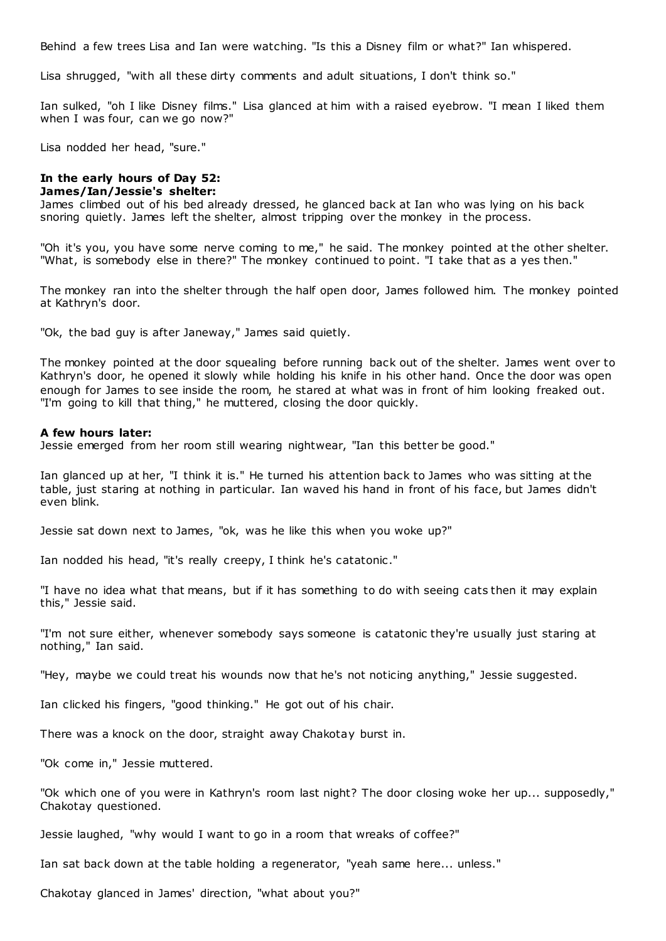Behind a few trees Lisa and Ian were watching. "Is this a Disney film or what?" Ian whispered.

Lisa shrugged, "with all these dirty comments and adult situations, I don't think so."

Ian sulked, "oh I like Disney films." Lisa glanced at him with a raised eyebrow. "I mean I liked them when I was four, can we go now?"

Lisa nodded her head, "sure."

#### **In the early hours of Day 52: James/Ian/Jessie's shelter:**

James climbed out of his bed already dressed, he glanced back at Ian who was lying on his back snoring quietly. James left the shelter, almost tripping over the monkey in the process.

"Oh it's you, you have some nerve coming to me," he said. The monkey pointed at the other shelter. "What, is somebody else in there?" The monkey continued to point. "I take that as a yes then."

The monkey ran into the shelter through the half open door, James followed him. The monkey pointed at Kathryn's door.

"Ok, the bad guy is after Janeway," James said quietly.

The monkey pointed at the door squealing before running back out of the shelter. James went over to Kathryn's door, he opened it slowly while holding his knife in his other hand. Once the door was open enough for James to see inside the room, he stared at what was in front of him looking freaked out. "I'm going to kill that thing," he muttered, closing the door quickly.

#### **A few hours later:**

Jessie emerged from her room still wearing nightwear, "Ian this better be good."

Ian glanced up at her, "I think it is." He turned his attention back to James who was sitting at the table, just staring at nothing in particular. Ian waved his hand in front of his face, but James didn't even blink.

Jessie sat down next to James, "ok, was he like this when you woke up?"

Ian nodded his head, "it's really creepy, I think he's catatonic ."

"I have no idea what that means, but if it has something to do with seeing cats then it may explain this," Jessie said.

"I'm not sure either, whenever somebody says someone is catatonic they're usually just staring at nothing," Ian said.

"Hey, maybe we could treat his wounds now that he's not noticing anything," Jessie suggested.

Ian clicked his fingers, "good thinking." He got out of his chair.

There was a knock on the door, straight away Chakotay burst in.

"Ok come in," Jessie muttered.

"Ok which one of you were in Kathryn's room last night? The door closing woke her up... supposedly," Chakotay questioned.

Jessie laughed, "why would I want to go in a room that wreaks of coffee?"

Ian sat back down at the table holding a regenerator, "yeah same here... unless."

Chakotay glanced in James' direction, "what about you?"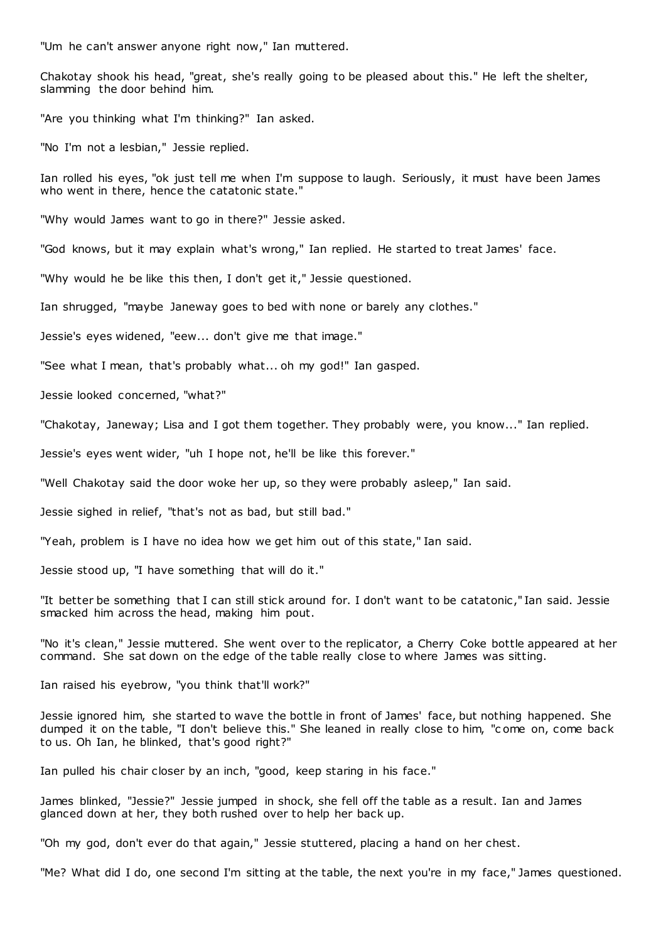"Um he can't answer anyone right now," Ian muttered.

Chakotay shook his head, "great, she's really going to be pleased about this." He left the shelter, slamming the door behind him.

"Are you thinking what I'm thinking?" Ian asked.

"No I'm not a lesbian," Jessie replied.

Ian rolled his eyes, "ok just tell me when I'm suppose to laugh. Seriously, it must have been James who went in there, hence the catatonic state."

"Why would James want to go in there?" Jessie asked.

"God knows, but it may explain what's wrong," Ian replied. He started to treat James' face.

"Why would he be like this then, I don't get it," Jessie questioned.

Ian shrugged, "maybe Janeway goes to bed with none or barely any clothes."

Jessie's eyes widened, "eew... don't give me that image."

"See what I mean, that's probably what... oh my god!" Ian gasped.

Jessie looked concerned, "what?"

"Chakotay, Janeway; Lisa and I got them together. They probably were, you know..." Ian replied.

Jessie's eyes went wider, "uh I hope not, he'll be like this forever."

"Well Chakotay said the door woke her up, so they were probably asleep," Ian said.

Jessie sighed in relief, "that's not as bad, but still bad."

"Yeah, problem is I have no idea how we get him out of this state," Ian said.

Jessie stood up, "I have something that will do it."

"It better be something that I can still stick around for. I don't want to be catatonic ," Ian said. Jessie smacked him across the head, making him pout.

"No it's clean," Jessie muttered. She went over to the replicator, a Cherry Coke bottle appeared at her command. She sat down on the edge of the table really close to where James was sitting.

Ian raised his eyebrow, "you think that'll work?"

Jessie ignored him, she started to wave the bottle in front of James' face, but nothing happened. She dumped it on the table, "I don't believe this." She leaned in really close to him, "c ome on, come back to us. Oh Ian, he blinked, that's good right?"

Ian pulled his chair closer by an inch, "good, keep staring in his face."

James blinked, "Jessie?" Jessie jumped in shock, she fell off the table as a result. Ian and James glanced down at her, they both rushed over to help her back up.

"Oh my god, don't ever do that again," Jessie stuttered, placing a hand on her chest.

"Me? What did I do, one second I'm sitting at the table, the next you're in my face," James questioned.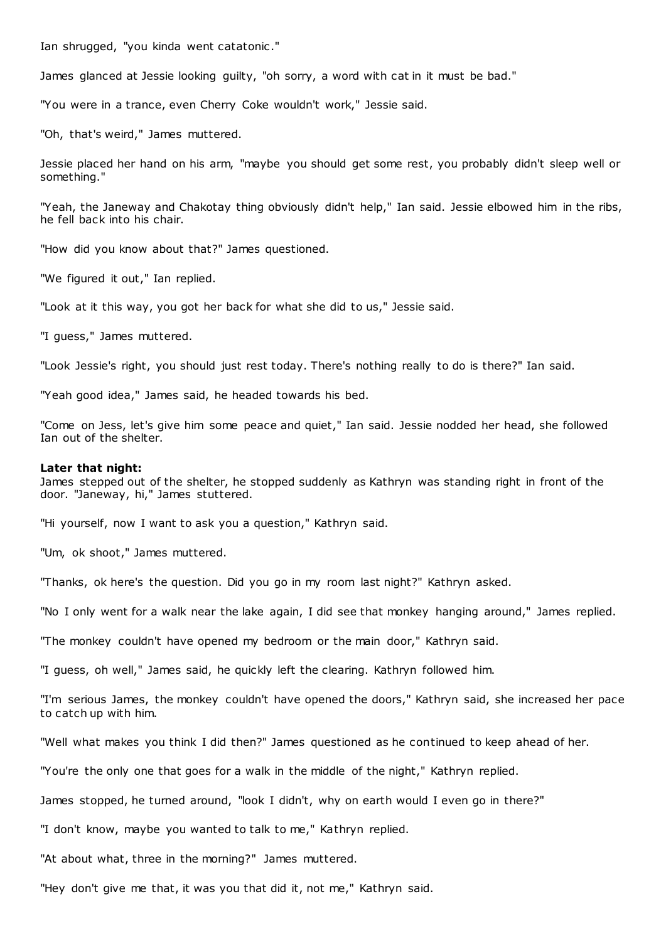Ian shrugged, "you kinda went catatonic ."

James glanced at Jessie looking guilty, "oh sorry, a word with cat in it must be bad."

"You were in a trance, even Cherry Coke wouldn't work," Jessie said.

"Oh, that's weird," James muttered.

Jessie placed her hand on his arm, "maybe you should get some rest, you probably didn't sleep well or something."

"Yeah, the Janeway and Chakotay thing obviously didn't help," Ian said. Jessie elbowed him in the ribs, he fell back into his chair.

"How did you know about that?" James questioned.

"We figured it out," Ian replied.

"Look at it this way, you got her back for what she did to us," Jessie said.

"I guess," James muttered.

"Look Jessie's right, you should just rest today. There's nothing really to do is there?" Ian said.

"Yeah good idea," James said, he headed towards his bed.

"Come on Jess, let's give him some peace and quiet," Ian said. Jessie nodded her head, she followed Ian out of the shelter.

#### **Later that night:**

James stepped out of the shelter, he stopped suddenly as Kathryn was standing right in front of the door. "Janeway, hi," James stuttered.

"Hi yourself, now I want to ask you a question," Kathryn said.

"Um, ok shoot," James muttered.

"Thanks, ok here's the question. Did you go in my room last night?" Kathryn asked.

"No I only went for a walk near the lake again, I did see that monkey hanging around," James replied.

"The monkey couldn't have opened my bedroom or the main door," Kathryn said.

"I guess, oh well," James said, he quickly left the clearing. Kathryn followed him.

"I'm serious James, the monkey couldn't have opened the doors," Kathryn said, she increased her pace to catch up with him.

"Well what makes you think I did then?" James questioned as he continued to keep ahead of her.

"You're the only one that goes for a walk in the middle of the night," Kathryn replied.

James stopped, he turned around, "look I didn't, why on earth would I even go in there?"

"I don't know, maybe you wanted to talk to me," Kathryn replied.

"At about what, three in the morning?" James muttered.

"Hey don't give me that, it was you that did it, not me," Kathryn said.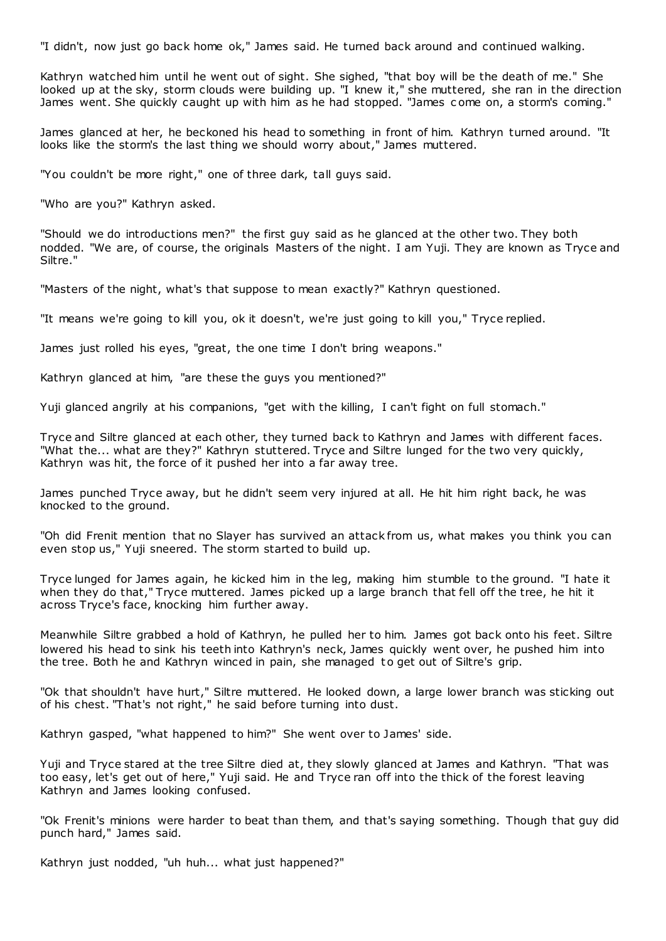"I didn't, now just go back home ok," James said. He turned back around and continued walking.

Kathryn watched him until he went out of sight. She sighed, "that boy will be the death of me." She looked up at the sky, storm clouds were building up. "I knew it," she muttered, she ran in the direction James went. She quickly caught up with him as he had stopped. "James c ome on, a storm's coming."

James glanced at her, he beckoned his head to something in front of him. Kathryn turned around. "It looks like the storm's the last thing we should worry about," James muttered.

"You couldn't be more right," one of three dark, tall guys said.

"Who are you?" Kathryn asked.

"Should we do introductions men?" the first guy said as he glanced at the other two. They both nodded. "We are, of course, the originals Masters of the night. I am Yuji. They are known as Tryce and Siltre."

"Masters of the night, what's that suppose to mean exactly?" Kathryn questioned.

"It means we're going to kill you, ok it doesn't, we're just going to kill you," Tryce replied.

James just rolled his eyes, "great, the one time I don't bring weapons."

Kathryn glanced at him, "are these the guys you mentioned?"

Yuji glanced angrily at his companions, "get with the killing, I can't fight on full stomach."

Tryce and Siltre glanced at each other, they turned back to Kathryn and James with different faces. "What the... what are they?" Kathryn stuttered. Tryce and Siltre lunged for the two very quickly, Kathryn was hit, the force of it pushed her into a far away tree.

James punched Tryce away, but he didn't seem very injured at all. He hit him right back, he was knocked to the ground.

"Oh did Frenit mention that no Slayer has survived an attack from us, what makes you think you can even stop us," Yuji sneered. The storm started to build up.

Tryce lunged for James again, he kicked him in the leg, making him stumble to the ground. "I hate it when they do that," Tryce muttered. James picked up a large branch that fell off the tree, he hit it across Tryce's face, knocking him further away.

Meanwhile Siltre grabbed a hold of Kathryn, he pulled her to him. James got back onto his feet. Siltre lowered his head to sink his teeth into Kathryn's neck, James quickly went over, he pushed him into the tree. Both he and Kathryn winced in pain, she managed to get out of Siltre's grip.

"Ok that shouldn't have hurt," Siltre muttered. He looked down, a large lower branch was sticking out of his chest. "That's not right," he said before turning into dust.

Kathryn gasped, "what happened to him?" She went over to James' side.

Yuji and Tryce stared at the tree Siltre died at, they slowly glanced at James and Kathryn. "That was too easy, let's get out of here," Yuji said. He and Tryce ran off into the thick of the forest leaving Kathryn and James looking confused.

"Ok Frenit's minions were harder to beat than them, and that's saying something. Though that guy did punch hard," James said.

Kathryn just nodded, "uh huh... what just happened?"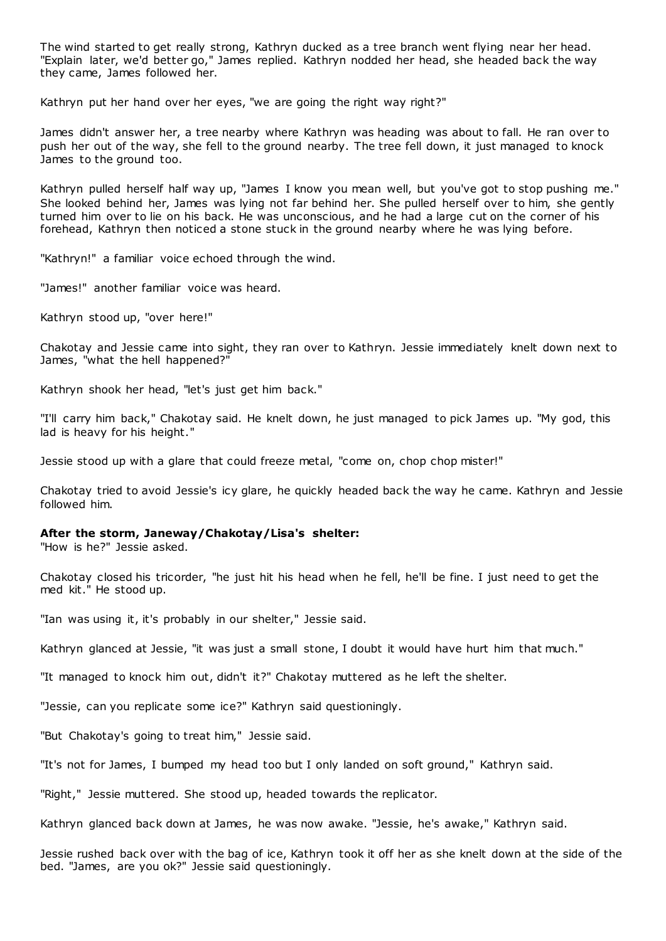The wind started to get really strong, Kathryn ducked as a tree branch went flying near her head. "Explain later, we'd better go," James replied. Kathryn nodded her head, she headed back the way they came, James followed her.

Kathryn put her hand over her eyes, "we are going the right way right?"

James didn't answer her, a tree nearby where Kathryn was heading was about to fall. He ran over to push her out of the way, she fell to the ground nearby. The tree fell down, it just managed to knock James to the ground too.

Kathryn pulled herself half way up, "James I know you mean well, but you've got to stop pushing me." She looked behind her, James was lying not far behind her. She pulled herself over to him, she gently turned him over to lie on his back. He was unconscious, and he had a large cut on the corner of his forehead, Kathryn then noticed a stone stuck in the ground nearby where he was lying before.

"Kathryn!" a familiar voice echoed through the wind.

"James!" another familiar voice was heard.

Kathryn stood up, "over here!"

Chakotay and Jessie came into sight, they ran over to Kathryn. Jessie immediately knelt down next to James, "what the hell happened?"

Kathryn shook her head, "let's just get him back."

"I'll carry him back," Chakotay said. He knelt down, he just managed to pick James up. "My god, this lad is heavy for his height."

Jessie stood up with a glare that could freeze metal, "come on, chop chop mister!"

Chakotay tried to avoid Jessie's icy glare, he quickly headed back the way he came. Kathryn and Jessie followed him.

## **After the storm, Janeway/Chakotay/Lisa's shelter:**

"How is he?" Jessie asked.

Chakotay closed his tricorder, "he just hit his head when he fell, he'll be fine. I just need to get the med kit." He stood up.

"Ian was using it, it's probably in our shelter," Jessie said.

Kathryn glanced at Jessie, "it was just a small stone, I doubt it would have hurt him that much."

"It managed to knock him out, didn't it?" Chakotay muttered as he left the shelter.

"Jessie, can you replicate some ice?" Kathryn said questioningly.

"But Chakotay's going to treat him," Jessie said.

"It's not for James, I bumped my head too but I only landed on soft ground," Kathryn said.

"Right," Jessie muttered. She stood up, headed towards the replicator.

Kathryn glanced back down at James, he was now awake. "Jessie, he's awake," Kathryn said.

Jessie rushed back over with the bag of ice, Kathryn took it off her as she knelt down at the side of the bed. "James, are you ok?" Jessie said questioningly.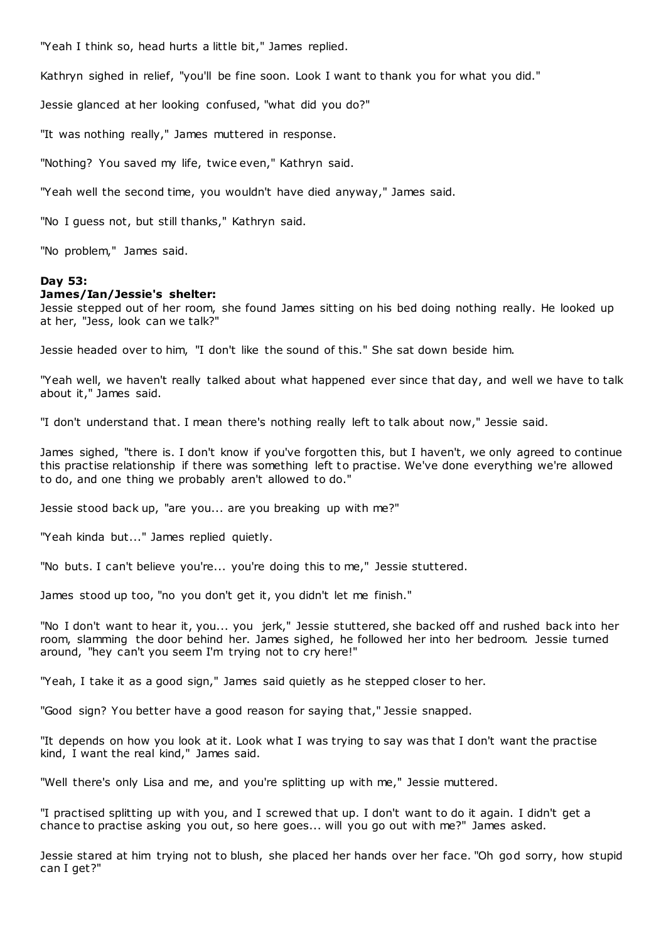"Yeah I think so, head hurts a little bit," James replied.

Kathryn sighed in relief, "you'll be fine soon. Look I want to thank you for what you did."

Jessie glanced at her looking confused, "what did you do?"

"It was nothing really," James muttered in response.

"Nothing? You saved my life, twice even," Kathryn said.

"Yeah well the second time, you wouldn't have died anyway," James said.

"No I guess not, but still thanks," Kathryn said.

"No problem," James said.

## **Day 53:**

#### **James/Ian/Jessie's shelter:**

Jessie stepped out of her room, she found James sitting on his bed doing nothing really. He looked up at her, "Jess, look can we talk?"

Jessie headed over to him, "I don't like the sound of this." She sat down beside him.

"Yeah well, we haven't really talked about what happened ever since that day, and well we have to talk about it," James said.

"I don't understand that. I mean there's nothing really left to talk about now," Jessie said.

James sighed, "there is. I don't know if you've forgotten this, but I haven't, we only agreed to continue this practise relationship if there was something left to practise. We've done everything we're allowed to do, and one thing we probably aren't allowed to do."

Jessie stood back up, "are you... are you breaking up with me?"

"Yeah kinda but..." James replied quietly.

"No buts. I can't believe you're... you're doing this to me," Jessie stuttered.

James stood up too, "no you don't get it, you didn't let me finish."

"No I don't want to hear it, you... you jerk," Jessie stuttered, she backed off and rushed back into her room, slamming the door behind her. James sighed, he followed her into her bedroom. Jessie turned around, "hey can't you seem I'm trying not to cry here!"

"Yeah, I take it as a good sign," James said quietly as he stepped closer to her.

"Good sign? You better have a good reason for saying that," Jessie snapped.

"It depends on how you look at it. Look what I was trying to say was that I don't want the practise kind, I want the real kind," James said.

"Well there's only Lisa and me, and you're splitting up with me," Jessie muttered.

"I practised splitting up with you, and I screwed that up. I don't want to do it again. I didn't get a chance to practise asking you out, so here goes... will you go out with me?" James asked.

Jessie stared at him trying not to blush, she placed her hands over her face. "Oh god sorry, how stupid can I get?"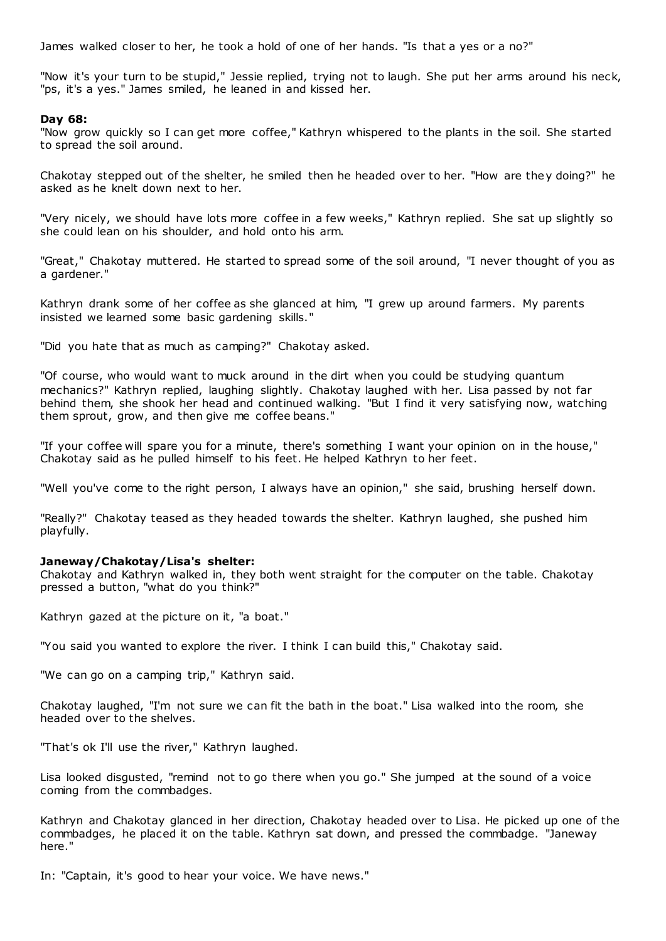James walked closer to her, he took a hold of one of her hands. "Is that a yes or a no?"

"Now it's your turn to be stupid," Jessie replied, trying not to laugh. She put her arms around his neck, "ps, it's a yes." James smiled, he leaned in and kissed her.

## **Day 68:**

"Now grow quickly so I can get more coffee," Kathryn whispered to the plants in the soil. She started to spread the soil around.

Chakotay stepped out of the shelter, he smiled then he headed over to her. "How are they doing?" he asked as he knelt down next to her.

"Very nicely, we should have lots more coffee in a few weeks," Kathryn replied. She sat up slightly so she could lean on his shoulder, and hold onto his arm.

"Great," Chakotay muttered. He started to spread some of the soil around, "I never thought of you as a gardener."

Kathryn drank some of her coffee as she glanced at him, "I grew up around farmers. My parents insisted we learned some basic gardening skills."

"Did you hate that as much as camping?" Chakotay asked.

"Of course, who would want to muck around in the dirt when you could be studying quantum mechanics?" Kathryn replied, laughing slightly. Chakotay laughed with her. Lisa passed by not far behind them, she shook her head and continued walking. "But I find it very satisfying now, watching them sprout, grow, and then give me coffee beans."

"If your coffee will spare you for a minute, there's something I want your opinion on in the house," Chakotay said as he pulled himself to his feet. He helped Kathryn to her feet.

"Well you've come to the right person, I always have an opinion," she said, brushing herself down.

"Really?" Chakotay teased as they headed towards the shelter. Kathryn laughed, she pushed him playfully.

## **Janeway/Chakotay/Lisa's shelter:**

Chakotay and Kathryn walked in, they both went straight for the computer on the table. Chakotay pressed a button, "what do you think?"

Kathryn gazed at the picture on it, "a boat."

"You said you wanted to explore the river. I think I can build this," Chakotay said.

"We can go on a camping trip," Kathryn said.

Chakotay laughed, "I'm not sure we can fit the bath in the boat." Lisa walked into the room, she headed over to the shelves.

"That's ok I'll use the river," Kathryn laughed.

Lisa looked disgusted, "remind not to go there when you go." She jumped at the sound of a voice coming from the commbadges.

Kathryn and Chakotay glanced in her direction, Chakotay headed over to Lisa. He picked up one of the commbadges, he placed it on the table. Kathryn sat down, and pressed the commbadge. "Janeway here."

In: "Captain, it's good to hear your voice. We have news."